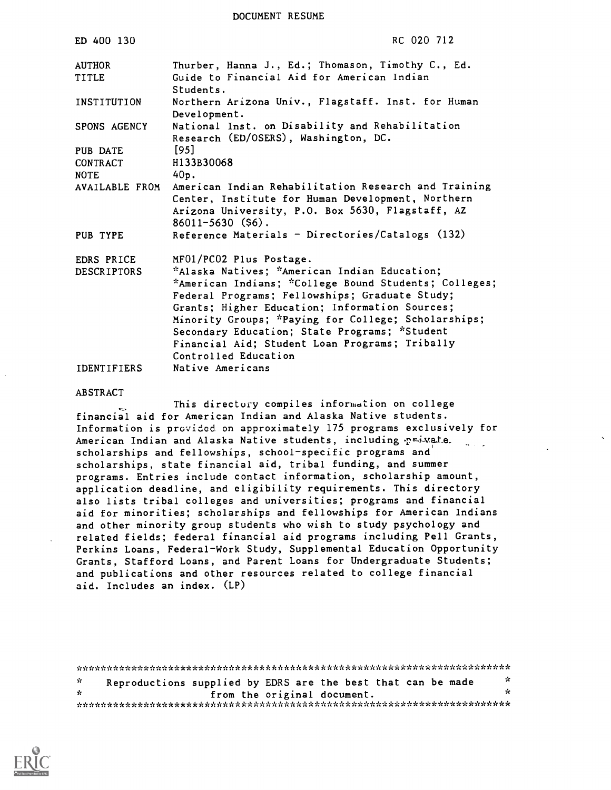DOCUMENT RESUME

| ED 400 130                          | RC 020 712                                                                                                                                                                                                                                                                                                                                                                                                             |
|-------------------------------------|------------------------------------------------------------------------------------------------------------------------------------------------------------------------------------------------------------------------------------------------------------------------------------------------------------------------------------------------------------------------------------------------------------------------|
| <b>AUTHOR</b><br><b>TITLE</b>       | Thurber, Hanna J., Ed.; Thomason, Timothy C., Ed.<br>Guide to Financial Aid for American Indian<br>Students.                                                                                                                                                                                                                                                                                                           |
| INSTITUTION                         | Northern Arizona Univ., Flagstaff. Inst. for Human<br>Development.                                                                                                                                                                                                                                                                                                                                                     |
| SPONS AGENCY                        | National Inst. on Disability and Rehabilitation<br>Research (ED/OSERS), Washington, DC.                                                                                                                                                                                                                                                                                                                                |
| PUB DATE<br>CONTRACT<br><b>NOTE</b> | $[95]$<br>H133B30068<br>40p.                                                                                                                                                                                                                                                                                                                                                                                           |
|                                     | AVAILABLE FROM American Indian Rehabilitation Research and Training<br>Center, Institute for Human Development, Northern<br>Arizona University, P.O. Box 5630, Flagstaff, AZ<br>$86011 - 5630$ (\$6).                                                                                                                                                                                                                  |
| PUB TYPE                            | Reference Materials - Directories/Catalogs (132)                                                                                                                                                                                                                                                                                                                                                                       |
| EDRS PRICE<br><b>DESCRIPTORS</b>    | MF01/PC02 Plus Postage.<br>*Alaska Natives; *American Indian Education;<br>*American Indians; *College Bound Students; Colleges;<br>Federal Programs; Fellowships; Graduate Study;<br>Grants; Higher Education; Information Sources;<br>Minority Groups; *Paying for College; Scholarships;<br>Secondary Education; State Programs; *Student<br>Financial Aid; Student Loan Programs; Tribally<br>Controlled Education |
| <b>IDENTIFIERS</b>                  | Native Americans                                                                                                                                                                                                                                                                                                                                                                                                       |

#### ABSTRACT

This directory compiles information on college financial aid for American Indian and Alaska Native students. Information is provided on approximately 175 programs exclusively for American Indian and Alaska Native students, including p=4-vate. scholarships and fellowships, school-specific programs and scholarships, state financial aid, tribal funding, and summer programs. Entries include contact information, scholarship amount, application deadline, and eligibility requirements. This directory also lists tribal colleges and universities; programs and financial aid for minorities; scholarships and fellowships for American Indians and other minority group students who wish to study psychology and related fields; federal financial aid programs including Pell Grants, Perkins Loans, Federal-Work Study, Supplemental Education Opportunity Grants, Stafford Loans, and Parent Loans for Undergraduate Students; and publications and other resources related to college financial aid. Includes an index. (LP)

\*\*\*\*\*\*\*\*\*\*\*\*\*\*\*\*\*\*\*\*\*\*\*\*\*\*\*\*\*\*\*\*\*\*\*\*\*\*\*\*\*\*\*\*\*\*\*\*\*\*\*\*\*\*\*\*\*\*\*\*\*\*\*\*\*\*\*\*\*\*\* Reproductions supplied by EDRS are the best that can be made  $\frac{x}{x}$  $\mathcal{L}$ from the original document. 7.0 \*\*\*\*\*\*\*\*\*\*\*\*\*\*\*\*\*\*\*\*AAA\*\*\*\*\*\*\*\*\*\*\*\*\*\*\*\*\*\*\*\*\*\*\*\*\*\*\*\*\*\*\*\*\*\*\*\*\*\*\*\*\*\*\*\*\*\*\*\*

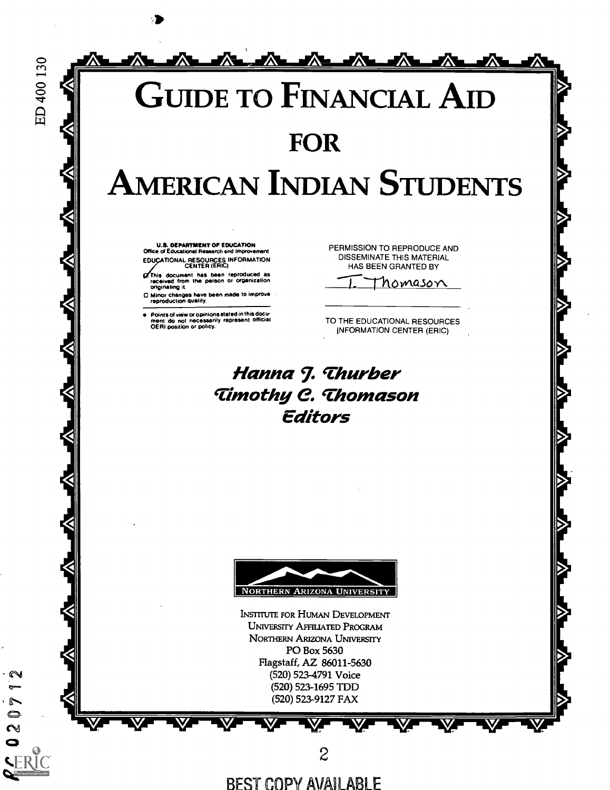

BEST COPY AVAILABLE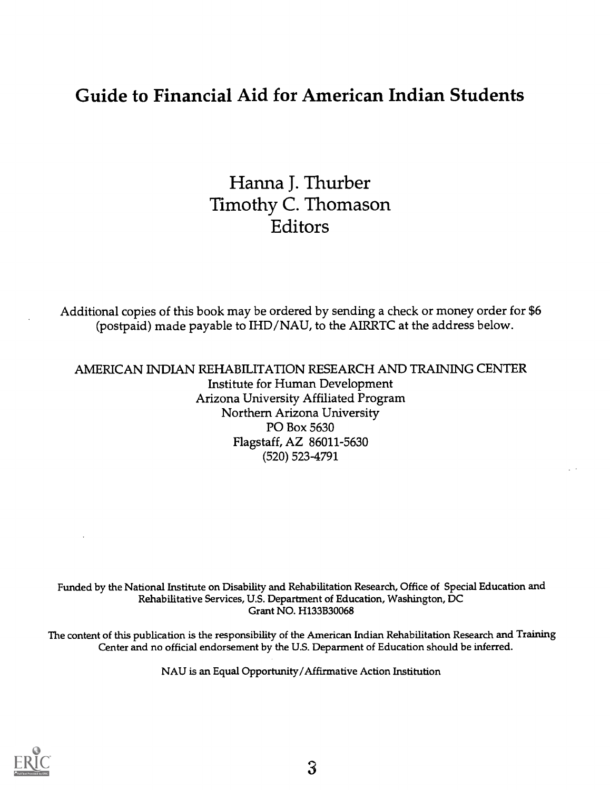# Guide to Financial Aid for American Indian Students

Hanna J. Thurber Timothy C. Thomason Editors

Additional copies of this book may be ordered by sending a check or money order for \$6 (postpaid) made payable to IHD/NAU, to the AIRRTC at the address below.

AMERICAN INDIAN REHABILITATION RESEARCH AND TRAINING CENTER Institute for Human Development Arizona University Affiliated Program Northern Arizona University PO Box 5630 Flagstaff, AZ 86011-5630 (520) 523-4791

Funded by the National Institute on Disability and Rehabilitation Research, Office of Special Education and Rehabilitative Services, U.S. Department of Education, Washington, DC Grant NO. H133B30068

The content of this publication is the responsibility of the American Indian Rehabilitation Research and Training Center and no official endorsement by the U.S. Deparment of Education should be inferred.

NAU is an Equal Opportunity/Affirmative Action Institution

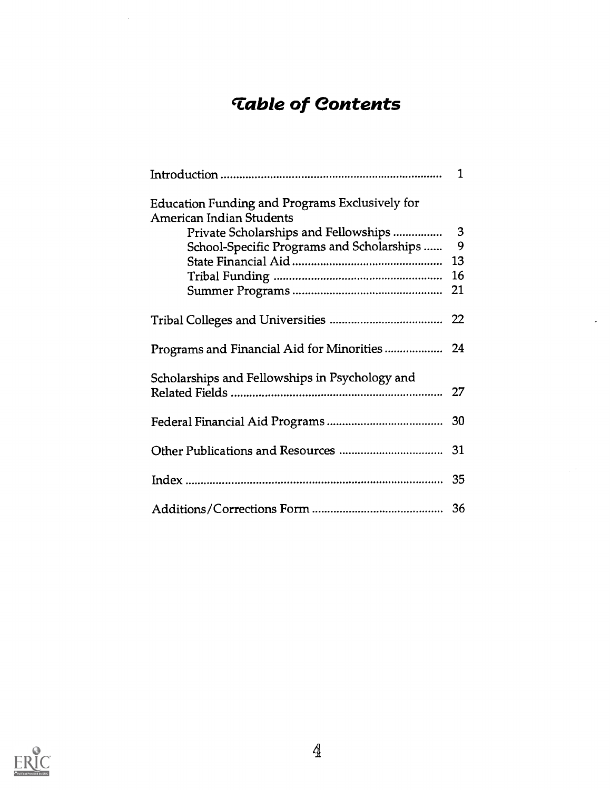# Table of Contents

|                                                                                          | 1  |
|------------------------------------------------------------------------------------------|----|
| <b>Education Funding and Programs Exclusively for</b><br><b>American Indian Students</b> |    |
| Private Scholarships and Fellowships                                                     | 3  |
| School-Specific Programs and Scholarships                                                | 9  |
|                                                                                          | 13 |
|                                                                                          |    |
|                                                                                          |    |
|                                                                                          |    |
|                                                                                          |    |
| Scholarships and Fellowships in Psychology and                                           |    |
|                                                                                          |    |
|                                                                                          |    |
|                                                                                          |    |
|                                                                                          |    |

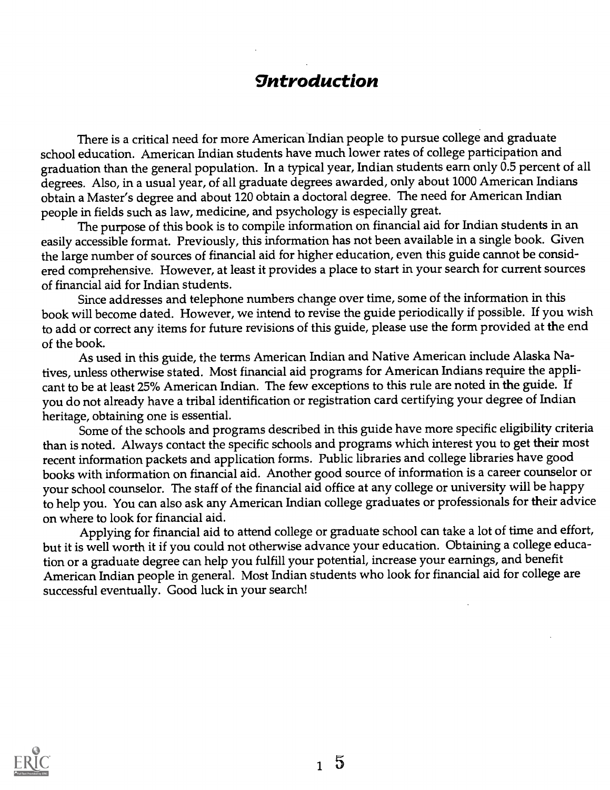# *<u>Introduction</u>*

There is a critical need for more American Indian people to pursue college and graduate school education. American Indian students have much lower rates of college participation and graduation than the general population. In a typical year, Indian students earn only 0.5 percent of all degrees. Also, in a usual year, of all graduate degrees awarded, only about 1000 American Indians obtain a Master's degree and about 120 obtain a doctoral degree. The need for American Indian people in fields such as law, medicine, and psychology is especially great.

The purpose of this book is to compile information on financial aid for Indian students in an easily accessible format. Previously, this information has not been available in a single book. Given the large number of sources of financial aid for higher education, even this guide cannot be considered comprehensive. However, at least it provides a place to start in your search for current sources of financial aid for Indian students.

Since addresses and telephone numbers change over time, some of the information in this book will become dated. However, we intend to revise the guide periodically if possible. If you wish to add or correct any items for future revisions of this guide, please use the form provided at the end of the book.

As used in this guide, the terms American Indian and Native American include Alaska Natives, unless otherwise stated. Most financial aid programs for American Indians require the applicant to be at least 25% American Indian. The few exceptions to this rule are noted in the guide. If you do not already have a tribal identification or registration card certifying your degree of Indian heritage, obtaining one is essential.

Some of the schools and programs described in this guide have more specific eligibility criteria than is noted. Always contact the specific schools and programs which interest you to get their most recent information packets and application forms. Public libraries and college libraries have good books with information on financial aid. Another good source of information is a career counselor or your school counselor. The staff of the financial aid office at any college or university will be happy to help you. You can also ask any American Indian college graduates or professionals for their advice on where to look for financial aid.

Applying for financial aid to attend college or graduate school can take a lot of time and effort, but it is well worth it if you could not otherwise advance your education. Obtaining a college education or a graduate degree can help you fulfill your potential, increase your earnings, and benefit American Indian people in general. Most Indian students who look for financial aid for college are successful eventually. Good luck in your search!

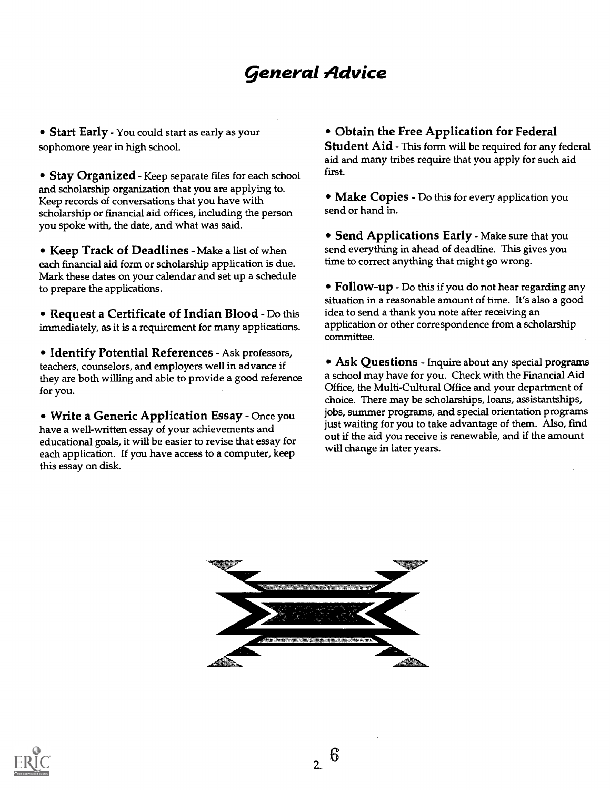# general Advice

• Start Early - You could start as early as your sophomore year in high school.

• Stay Organized - Keep separate files for each school and scholarship organization that you are applying to. Keep records of conversations that you have with scholarship or financial aid offices, including the person you spoke with, the date, and what was said.

Keep Track of Deadlines - Make a list of when each financial aid form or scholarship application is due. Mark these dates on your calendar and set up a schedule to prepare the applications.

• Request a Certificate of Indian Blood - Do this immediately, as it is a requirement for many applications.

• Identify Potential References - Ask professors, teachers, counselors, and employers well in advance if they are both willing and able to provide a good reference for you.

Write a Generic Application Essay - Once you have a well-written essay of your achievements and educational goals, it will be easier to revise that essay for each application. If you have access to a computer, keep this essay on disk.

Obtain the Free Application for Federal Student Aid - This form will be required for any federal aid and many tribes require that you apply for such aid first.

• Make Copies - Do this for every application you send or hand in.

• Send Applications Early - Make sure that you send everything in ahead of deadline. This gives you time to correct anything that might go wrong.

• Follow-up - Do this if you do not hear regarding any situation in a reasonable amount of time. It's also a good idea to send a thank you note after receiving an application or other correspondence from a scholarship committee.

Ask Questions - Inquire about any special programs a school may have for you. Check with the Financial Aid Office, the Multi-Cultural Office and your department of choice. There may be scholarships, loans, assistantships, jobs, summer programs, and special orientation programs just waiting for you to take advantage of them. Also, find out if the aid you receive is renewable, and if the amount will change in later years.



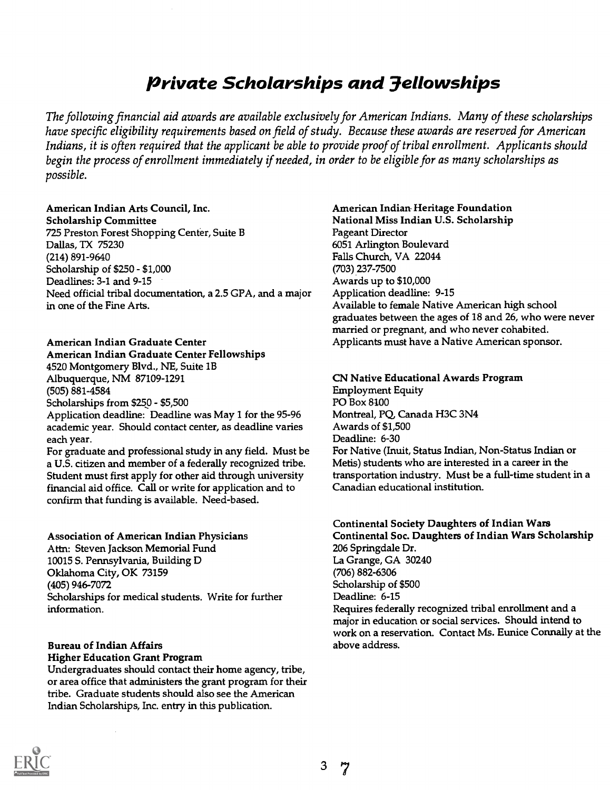# Private Scholarships and 3ellowships

The following financial aid awards are available exclusively for American Indians. Many of these scholarships have specific eligibility requirements based on field of study. Because these awards are reserved for American Indians, it is often required that the applicant be able to provide proof of tribal enrollment. Applicants should begin the process of enrollment immediately if needed, in order to be eligible for as many scholarships as possible.

## American Indian Arts Council, Inc.

Scholarship Committee 725 Preston Forest Shopping Center, Suite B Dallas, TX 75230 (214) 891-9640 Scholarship of \$250 - \$1,000 Deadlines: 3-1 and 9-15 Need official tribal documentation, a 2.5 GPA, and a major in one of the Fine Arts.

#### American Indian Graduate Center

# American Indian Graduate Center Fellowships

4520 Montgomery Blvd., NE, Suite 1B Albuquerque, NM 87109-1291  $(505) 881 - 4584$ Scholarships from \$250 - \$5,500 Application deadline: Deadline was May 1 for the 95-96 academic year. Should contact center, as deadline varies

each year. For graduate and professional study in any field. Must be a U.S. citizen and member of a federally recognized tribe. Student must first apply for other aid through university financial aid office. Call or write for application and to confirm that funding is available. Need-based.

#### Association of American Indian Physicians

Attn: Steven Jackson Memorial Fund 10015 S. Pennsylvania, Building D Oklahoma City, OK 73159 (405) 946-7072 Scholarships for medical students. Write for further information.

## Bureau of Indian Affairs

Higher Education Grant Program

Undergraduates should contact their home agency, tribe, or area office that administers the grant program for their tribe. Graduate students should also see the American Indian Scholarships, Inc. entry in this publication.

#### American Indian. Heritage Foundation

National Miss Indian U.S. Scholarship Pageant Director 6051 Arlington Boulevard Falls Church, VA 22044 (703) 237-7500 Awards up to \$10,000 Application deadline: 9-15 Available to female Native American high school graduates between the ages of 18 and 26, who were never married or pregnant, and who never cohabited. Applicants must have a Native American sponsor.

## CN Native Educational Awards Program

Employment Equity PO Box 8100 Montreal, PQ Canada H3C 3N4 Awards of \$1,500 Deadline: 6-30 For Native (Inuit, Status Indian, Non-Status Indian or Metis) students who are interested in a career in the transportation industry. Must be a full-time student in a Canadian educational institution.

## Continental Society Daughters of Indian Wars

Continental Soc. Daughters of Indian Wars Scholarship 206 Springdale Dr. La Grange, GA 30240 (706) 882-6306 Scholarship of \$500 Deadline: 6-15 Requires federally recognized tribal enrollment and a major in education or social services. Should intend to work on a reservation. Contact Ms. Eunice Connally at the above address.

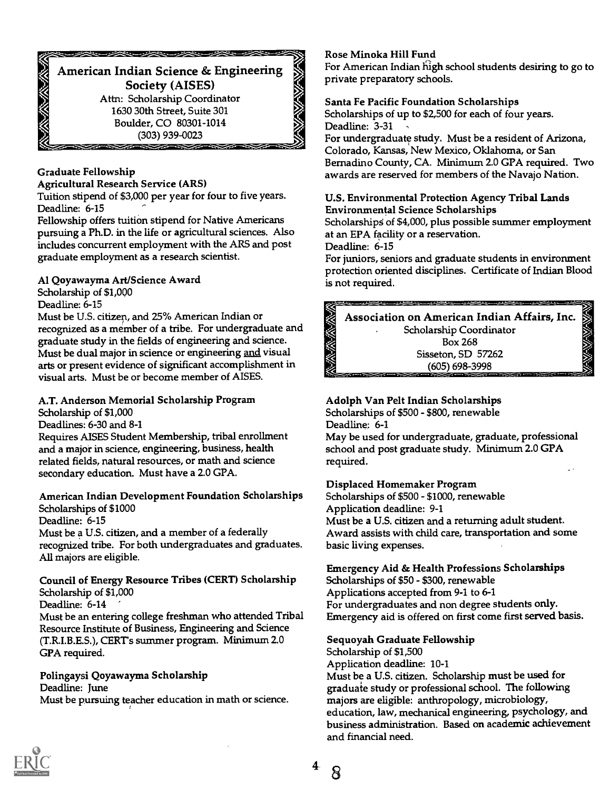## \*\*\*\*\*\*\*\*\* American Indian Science & Engineering Society (AISES) Attn: Scholarship Coordinator 1630 30th Street, Suite 301 Boulder, CO 80301-1014 (303) 939-0023

## Graduate Fellowship

#### Agricultural Research Service (ARS)

Tuition stipend of \$3,000 per year for four to five years. Deadline: 6-15

Fellowship offers tuition stipend for Native Americans pursuing a Ph.D. in the life or agricultural sciences. Also includes concurrent employment with the ARS and post graduate employment as a research scientist.

## Al Qoyawayma Art/Science Award

## Scholarship of \$1,000

Deadline: 6-15

Must be U.S. citizen, and 25% American Indian or recognized as a member of a tribe. For undergraduate and graduate study in the fields of engineering and science. Must be dual major in science or engineering and visual arts or present evidence of significant accomplishment in visual arts. Must be or become member of AISES.

## A.T. Anderson Memorial Scholarship Program

Scholarship of \$1,000

Deadlines: 6-30 and 8-1

Requires AISES Student Membership, tribal enrollment and a major in science, engineering, business, health related fields, natural resources, or math and science secondary education. Must have a 2.0 GPA.

## American Indian Development Foundation Scholarships Scholarships of \$1000

Deadline: 6-15

Must be a U.S. citizen, and a member of a federally recognized tribe. For both undergraduates and graduates. All majors are eligible.

## Council of Energy Resource Tribes (CERT) Scholarship Scholarship of \$1,000

Deadline: 6-14

Must be an entering college freshman who attended Tribal Resource Institute of Business, Engineering and Science (T.RI.B.E.S.), CERTs summer program. Minimum 2.0 GPA required.

## Polingaysi Qoyawayma Scholarship Deadline: June

Must be pursuing teacher education in math or science.

## Rose Minoka Hill Fund

For American Indian high school students desiring to go to private preparatory schools.

## Santa Fe Pacific Foundation Scholarships

Scholarships of up to \$2,500 for each of four years. Deadline: 3-31

For undergraduate study. Must be a resident of Arizona, Colorado, Kansas, New Mexico, Oklahoma, or San Bernadino County, CA. Minimum 2.0 GPA required. Two awards are reserved for members of the Navajo Nation.

## U.S. Environmental Protection Agency Tribal Lands Environmental Science Scholarships

Scholarships of \$4,000, plus possible summer employment at an EPA facility or a reservation.

Deadline: 6-15

For juniors, seniors and graduate students in environment protection oriented disciplines. Certificate of Indian Blood is not required.

-------->) Association on American Indian Affairs, Inc. Scholarship Coordinator .-0 Box 268 Sisseton, SD 57262 ".--.<--- ,,.. (605) 698-3998

#### Adolph Van Pelt Indian Scholarships Scholarships of \$500 - \$800, renewable

Deadline: 6-1

May be used for undergraduate, graduate, professional school and post graduate study. Minimum 2.0 GPA required.

## Displaced Homemaker Program

Scholarships of \$500 - \$1000, renewable Application deadline: 9-1 Must be a U.S. citizen and a returning adult student. Award assists with child care, transportation and some basic living expenses.

## Emergency Aid & Health Professions Scholarships Scholarships of \$50 - \$300, renewable Applications accepted from 9-1 to 6-1 For undergraduates and non degree students only. Emergency aid is offered on first come first served basis.

## Sequoyah Graduate Fellowship

Scholarship of \$1,500 Application deadline: 10-1 Must be a U.S. citizen. Scholarship must be used for graduate study or professional school. The following majors are eligible: anthropology, microbiology, education, law, mechanical engineering, psychology, and business administration. Based on academic achievement and financial need.

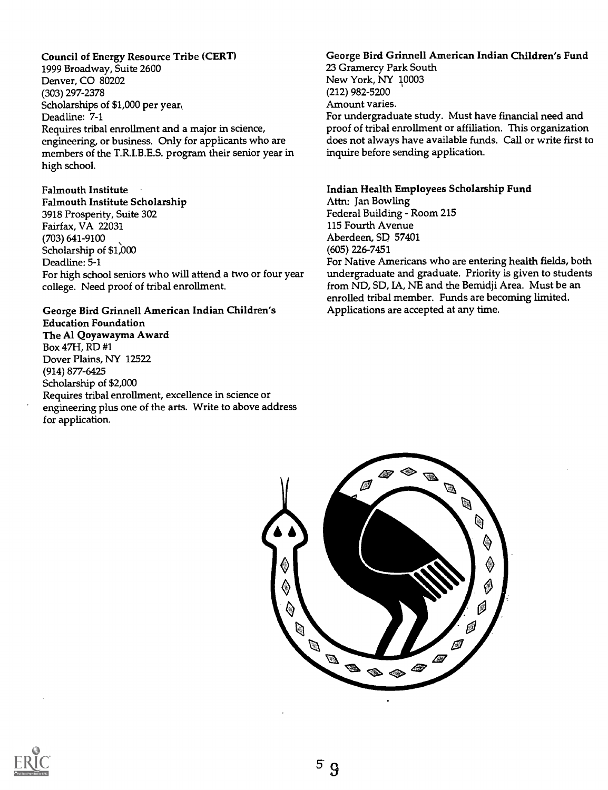Council of Energy Resource Tribe (CERT) 1999 Broadway, Suite 2600 Denver, CO 80202 (303) 297-2378 Scholarships of \$1,000 per year Deadline: 7-1 Requires tribal enrollment and a major in science, engineering, or business. Only for applicants who are members of the T.R.I.B.E.S. program their senior year in high school.

#### Falmouth Institute

Falmouth Institute Scholarship 3918 Prosperity, Suite 302 Fairfax, VA 22031 (703) 641-9100 Scholarship of \$1,000 Deadline: 5-1 For high school seniors who will attend a two or four year college. Need proof of tribal enrollment.

George Bird Grinnell American Indian Children's Education Foundation The Al Qoyawayma Award Box 47H, RD #1 Dover Plains, NY 12522 (914) 877-6425 Scholarship of \$2,000 Requires tribal enrollment, excellence in science or engineering plus one of the arts. Write to above address for application.

## George Bird Grinnell American Indian Children's Fund

23 Gramercy Park South New York, NY 10003 (212) 982-5200 Amount varies. For undergraduate study. Must have financial need and proof of tribal enrollment or affiliation. This organization does not always have available funds. Call or write first to inquire before sending application.

#### Indian Health Employees Scholarship Fund Attn: Jan Bowling

Federal Building - Room 215 115 Fourth Avenue Aberdeen, SD 57401 (605) 226-7451 For Native Americans who are entering health fields, both

undergraduate and graduate. Priority is given to students from ND, SD, IA, NE and the Bemidji Area. Must be an enrolled tribal member. Funds are becoming limited. Applications are accepted at any time.



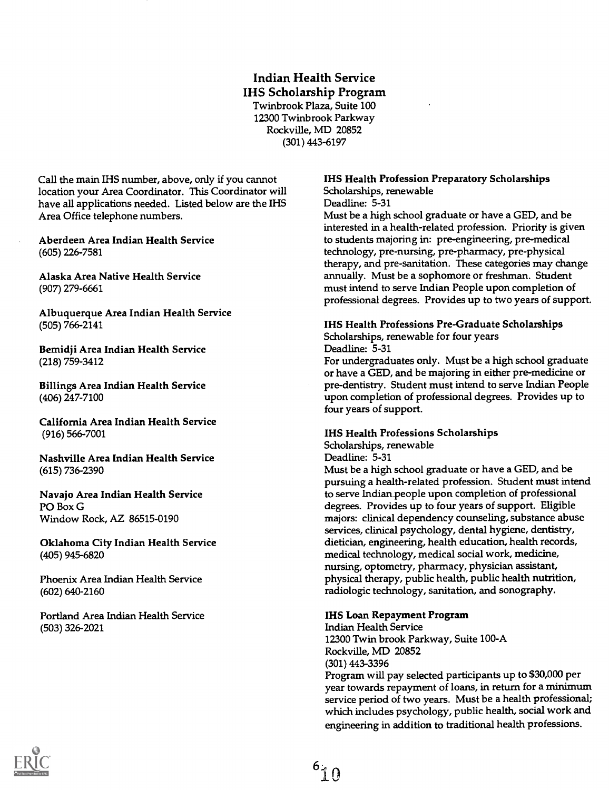## Indian Health Service IHS Scholarship Program

Twinbrook Plaza, Suite 100 12300 Twinbrook Parkway Rockville, MD 20852 (301) 443-6197

Call the main IHS number, above, only if you cannot location your Area Coordinator. This Coordinator will have all applications needed. Listed below are the IHS Area Office telephone numbers.

Aberdeen Area Indian Health Service (605) 226-7581

Alaska Area Native Health Service (907) 279-6661

Albuquerque Area Indian Health Service (505) 766-2141

Bemidji Area Indian Health Service (218) 759-3412

Billings Area Indian Health Service (406) 247-7100

California Area Indian Health Service (916) 566-7001

Nashville Area Indian Health Service (615) 736-2390

Navajo Area Indian Health Service PO Box G Window Rock, AZ 86515-0190

Oklahoma City Indian Health Service (405) 945-6820

Phoenix Area Indian Health Service (602) 640-2160

Portland Area Indian Health Service (503) 326-2021

## IHS Health Profession Preparatory Scholarships Scholarships, renewable

Deadline: 5-31

Must be a high school graduate or have a GED, and be interested in a health-related profession. Priority is given to students majoring in: pre-engineering, pre-medical technology, pre-nursing, pre-pharmacy, pre-physical therapy, and pre-sanitation. These categories may change annually. Must be a sophomore or freshman. Student must intend to serve Indian People upon completion of professional degrees. Provides up to two years of support.

#### IHS Health Professions Pre-Graduate Scholarships

Scholarships, renewable for four years

Deadline: 5-31

For undergraduates only. Must be a high school graduate or have a GED, and be majoring in either pre-medicine or pre-dentistry. Student must intend to serve Indian People upon completion of professional degrees. Provides up to four years of support.

#### IHS Health Professions Scholarships

Scholarships, renewable Deadline: 5-31

Must be a high school graduate or have a GED, and be pursuing a health-related profession. Student must intend to serve Indian\_people upon completion of professional degrees. Provides up to four years of support. Eligible majors: clinical dependency counseling, substance abuse services, clinical psychology, dental hygiene, dentistry, dietician, engineering, health education, health records, medical technology, medical social work, medicine, nursing, optometry, pharmacy, physician assistant, physical therapy, public health, public health nutrition, radiologic technology, sanitation, and sonography.

#### IHS Loan Repayment Program

Indian Health Service 12300 Twin brook Parkway, Suite 100-A Rockville, MD 20852 (301) 443-3396 Program will pay selected participants up to \$30,000 per year towards repayment of loans, in return for a minimum service period of two years. Must be a health professional; which includes psychology, public health, social work and engineering in addition to traditional health professions.

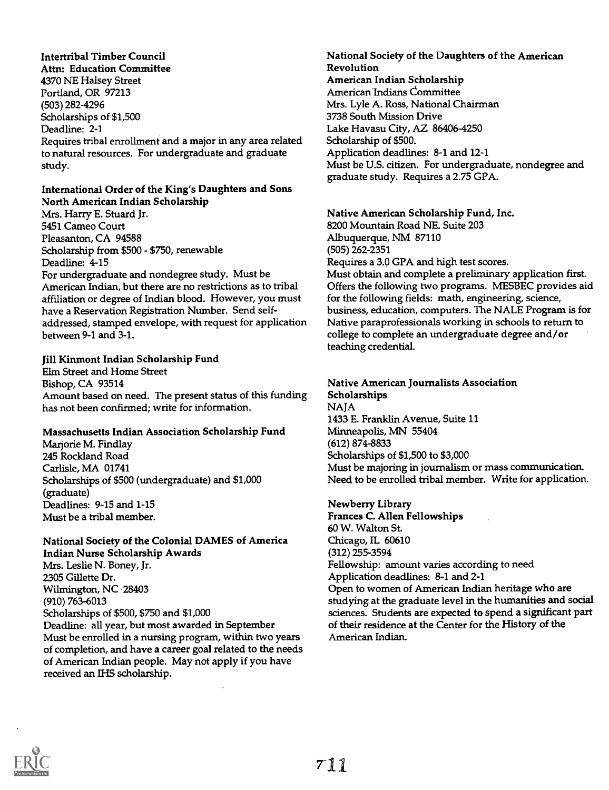Intertribal Timber Council Attn: Education Committee 4370 NE Halsey Street Portland, OR 97213 (503) 282-4296 Scholarships of \$1,500 Deadline: 2-1 Requires tribal enrollment and a major in any area related to natural resources. For undergraduate and graduate study.

## International Order of the King's Daughters and Sons North American Indian Scholarship

Mrs. Harry E. Stuard Jr. 5451 Cameo Court Pleasanton, CA 94588 Scholarship from \$500 - \$750, renewable Deadline: 4-15 For undergraduate and nondegree study. Must be American Indian, but there are no restrictions as to tribal affiliation or degree of Indian blood. However, you must have a Reservation Registration Number. Send selfaddressed, stamped envelope, with request for application between 9-1 and 3-1.

#### Jill Kinmont Indian Scholarship Fund

Elm Street and Home Street Bishop, CA 93514 Amount based on need. The present status of this funding has not been confirmed; write for information.

#### Massachusetts Indian Association Scholarship Fund

Marjorie M. Findlay 245 Rockland Road Carlisle, MA 01741 Scholarships of \$500 (undergraduate) and \$1,000 (graduate) Deadlines: 9-15 and 1-15 Must be a tribal member.

## National Society of the Colonial DAMES of America Indian Nurse Scholarship Awards

Mrs. Leslie N. Boney, Jr. 2305 Gillette Dr. Wilmington, NC -28403 (910) 763-6013 Scholarships of \$500, \$750 and \$1,000 Deadline: all year, but most awarded in September Must be enrolled in a nursing program, within two years of completion, and have a career goal related to the needs of American Indian people. May not apply if you have received an IHS scholarship.

#### National Society of the Daughters of the American Revolution American Indian Scholarship American Indians Committee Mrs. Lyle A. Ross, National Chairman 3738 South Mission Drive Lake Havasu City, AZ 86406-4250 Scholarship of \$500. Application deadlines: 8-1 and 12-1 Must be U.S. citizen. For undergraduate, nondegree and graduate study. Requires a 2.75 GPA.

## Native American Scholarship Fund, Inc.

8200 Mountain Road NE. Suite 203 Albuquerque, NM 87110 (505) 262-2351 Requires a 3.0 GPA and high test scores. Must obtain and complete a preliminary application first. Offers the following two programs. MESBEC provides aid for the following fields: math, engineering, science, business, education, computers. The NALE Program is for Native paraprofessionals working in schools to return to college to complete an undergraduate degree and/or teaching credential.

#### Native American Journalists Association Scholarships

**NAJA** 1433 E. Franklin Avenue, Suite 11 Minneapolis, MN 55404 (612) 874-8833 Scholarships of \$1,500 to \$3,000 Must be majoring in journalism or mass communication. Need to be enrolled tribal member. Write for application.

## Newberry Library

Frances C. Allen Fellowships 60 W. Walton St. Chicago, IL 60610 (312) 255-3594 Fellowship: amount varies according to need Application deadlines: 8-1 and 2-1 Open to women of American Indian heritage who are studying at the graduate level in the humanities and social sciences. Students are expected to spend a significant part of their residence at the Center for the History of the American Indian.

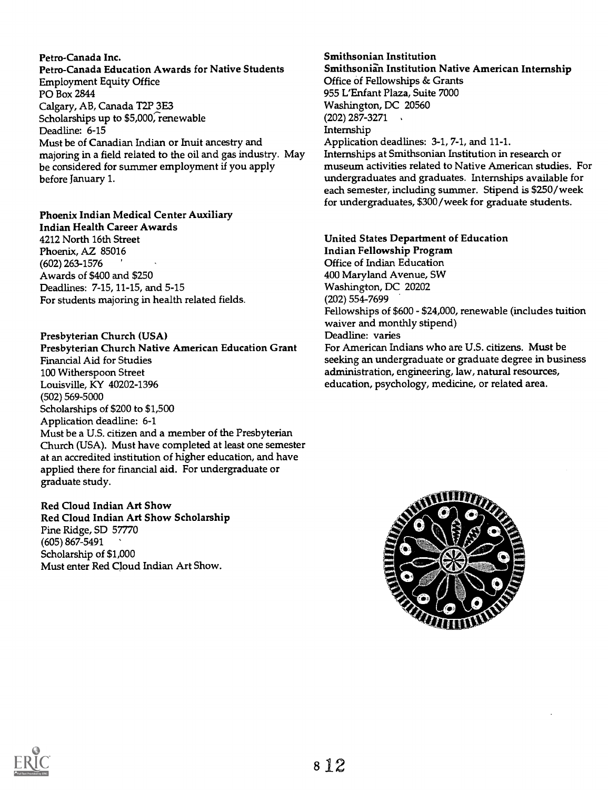Petro-Canada Inc. Petro-Canada Education Awards for Native Students Employment Equity Office PO Box 2844 Calgary, AB, Canada T2P 3E3 Scholarships up to \$5,000, renewable Deadline: 6-15 Must be of Canadian Indian or Inuit ancestry and majoring in a field related to the oil and gas industry. May be considered for summer employment if you apply before January 1.

#### Phoenix Indian Medical Center Auxiliary

Indian Health Career Awards 4212 North 16th Street Phoenix, AZ 85016 (602) 263-1576 ' Awards of \$400 and \$250 Deadlines: 7-15, 11-15, and 5-15 For students majoring in health related fields.

#### Presbyterian Church (USA)

Presbyterian Church Native American Education Grant Financial Aid for Studies 100 Witherspoon Street Louisville, KY 40202-1396 (502) 569-5000 Scholarships of \$200 to \$1,500 Application deadline: 6-1 Must be a U.S. citizen and a member of the Presbyterian Church (USA). Must have completed at least one semester at an accredited institution of higher education, and have applied there for financial aid. For undergraduate or graduate study.

#### Red Cloud Indian Art Show Red Cloud Indian Art Show Scholarship Pine Ridge, SD 57770 (605) 867-5491

Scholarship of \$1,000 Must enter Red Cloud Indian Art Show.

## Smithsonian Institution Smithsonian Institution Native American Internship Office of Fellowships & Grants

955 L'Enfant Plaza, Suite 7000 Washington, DC 20560 (202) 287-3271 Internship Application deadlines: 3-1, 7-1, and 11-1. Internships at Smithsonian Institution in research or museum activities related to Native American studies. For undergraduates and graduates. Internships available for each semester, including summer. Stipend is \$250/week for undergraduates, \$300/week for graduate students.

United States Department of Education Indian Fellowship Program Office of Indian Education 400 Maryland Avenue, SW Washington, DC 20202 (202) 554-7699 Fellowships of \$600 - \$24,000, renewable (includes tuition waiver and monthly stipend) Deadline: varies For American Indians who are U.S. citizens. Must be seeking an undergraduate or graduate degree in business administration, engineering, law, natural resources, education, psychology, medicine, or related area.



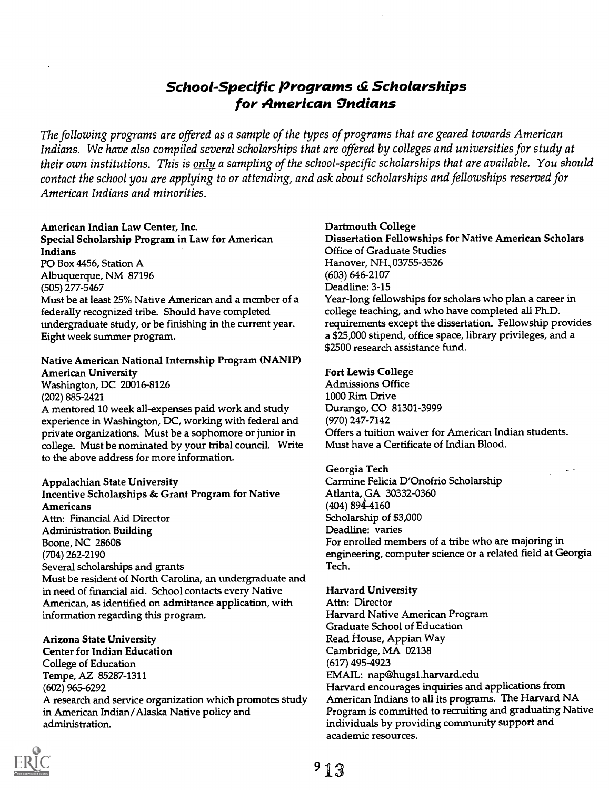# School-Specific Programs & Scholarships for American gndians

The following programs are offered as a sample of the types of programs that are geared towards American Indians. We have also compiled several scholarships that are offered by colleges and universities for study at their own institutions. This is only a sampling of the school-specific scholarships that are available. You should contact the school you are applying to or attending, and ask about scholarships and fellowships reserved for American Indians and minorities.

#### American Indian Law Center, Inc. Special Scholarship Program in Law for American Indians PO Box 4456, Station A

Albuquerque, NM 87196 (505) 277-5467

Must be at least 25% Native American and a member of a federally recognized tribe. Should have completed undergraduate study, or be finishing in the current year. Eight week summer program.

## Native American National Internship Program (NANIP) American University Washington, DC 20016-8126

(202) 885-2421

A mentored 10 week all-expenses paid work and study experience in Washington, DC, working with federal and private organizations. Must be a sophomore or junior in college. Must be nominated by your tribal council. Write to the above address for more information.

## Appalachian State University

Incentive Scholarships & Grant Program for Native Americans Attn: Financial Aid Director Administration Building Boone, NC 28608 (704) 262-2190 Several scholarships and grants Must be resident of North Carolina, an undergraduate and in need of financial aid. School contacts every Native American, as identified on admittance application, with information regarding this program.

## Arizona State University

Center for Indian Education College of Education Tempe, AZ 85287-1311 (602) 965-6292 A research and service organization which promotes study in American Indian/Alaska Native policy and administration.

## Dartmouth College

Dissertation Fellowships for Native American Scholars Office of Graduate Studies Hanover, NH, 03755-3526 (603) 646-2107 Deadline: 3-15 Year-long fellowships for scholars who plan a career in college teaching, and who have completed all Ph.D. requirements except the dissertation. Fellowship provides a \$25,000 stipend, office space, library privileges, and a \$2500 research assistance fund.

## Fort Lewis College

Admissions Office 1000 Rim Drive Durango, CO 81301-3999 (970) 247-7142 Offers a tuition waiver for American Indian students. Must have a Certificate of Indian Blood.

## Georgia Tech

Carmine Felicia D'Onofrio Scholarship Atlanta, GA 30332-0360 (404) 894-4160 Scholarship of \$3,000 Deadline: varies For enrolled members of a tribe who are majoring in engineering, computer science or a related field at Georgia Tech.

## Harvard University

Attn: Director Harvard Native American Program Graduate School of Education Read House, Appian Way Cambridge, MA 02138 (617) 4954923 EMAIL: nap@hugsl.harvard.edu Harvard encourages inquiries and applications from American Indians to all its programs. The Harvard NA Program is committed to recruiting and graduating Native individuals by providing community support and academic resources.

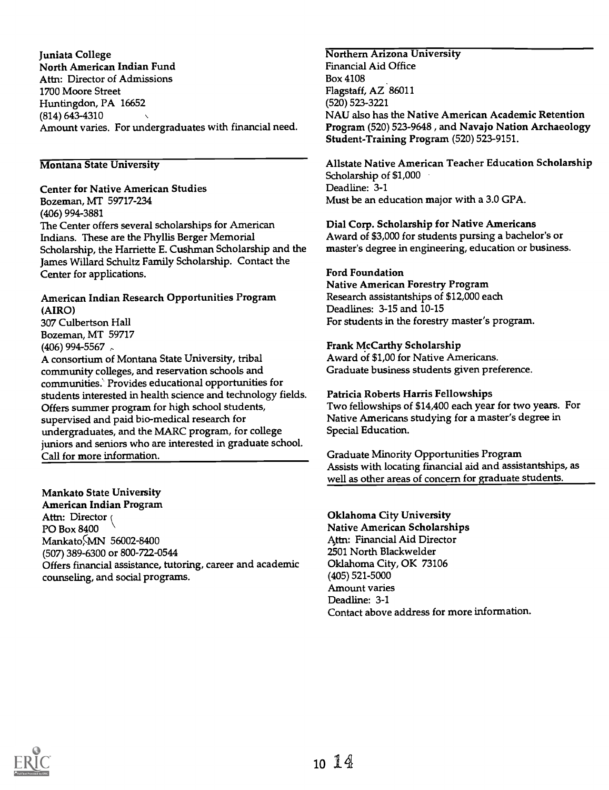Juniata College North American Indian Fund Attn: Director of Admissions 1700 Moore Street Huntingdon, PA 16652 (814) 643-4310 Amount varies. For undergraduates with financial need.

## Montana State University

Center for Native American Studies Bozeman, MT 59717-234 (406) 994-3881 The Center offers several scholarships for American Indians. These are the Phyllis Berger Memorial Scholarship, the Harriette E. Cushman Scholarship and the James Willard Schultz Family Scholarship. Contact the Center for applications.

## American Indian Research Opportunities Program (AIRO)

307 Culbertson Hall Bozeman, MT 59717 (406) 994-5567

A consortium of Montana State University, tribal community colleges, and reservation schools and communities.' Provides educational opportunities for students interested in health science and technology fields. Offers summer program for high school students, supervised and paid bio-medical research for undergraduates, and the MARC program, for college juniors and seniors who are interested in graduate school. Call for more information.

## Mankato State University

American Indian Program Attn: Director ( PO Box 8400 Mankato<sub>MN</sub> 56002-8400 (507) 389-6300 or 800-722-0544 Offers financial assistance, tutoring, career and academic counseling, and social programs.

# Northern Arizona University

Financial Aid Office Box 4108 Flagstaff, AZ 86011 (520) 523-3221 NAU also has the Native American Academic Retention Program (520) 523-9648 , and Navajo Nation Archaeology Student-Training Program (520) 523-9151.

Allstate Native American Teacher Education Scholarship Scholarship of \$1,000 Deadline: 3-1 Must be an education major with a 3.0 GPA.

Dial Corp. Scholarship for Native Americans Award of \$3,000 for students pursing a bachelor's or master's degree in engineering, education or business.

## Ford Foundation

Native American Forestry Program Research assistantships of \$12,000 each Deadlines: 3-15 and 10-15 For students in the forestry master's program.

## Frank McCarthy Scholarship

Award of \$1,00 for Native Americans. Graduate business students given preference.

## Patricia Roberts Harris Fellowships

Two fellowships of \$14,400 each year for two years. For Native Americans studying for a master's degree in Special Education.

Graduate Minority Opportunities Program Assists with locating financial aid and assistantships, as well as other areas of concern for graduate students.

Oklahoma City University Native American Scholarships Attn: Financial Aid Director 2501 North Blackwelder Oklahoma City, OK 73106 (405) 521-5000 Amount varies Deadline: 3-1 Contact above address for more information.

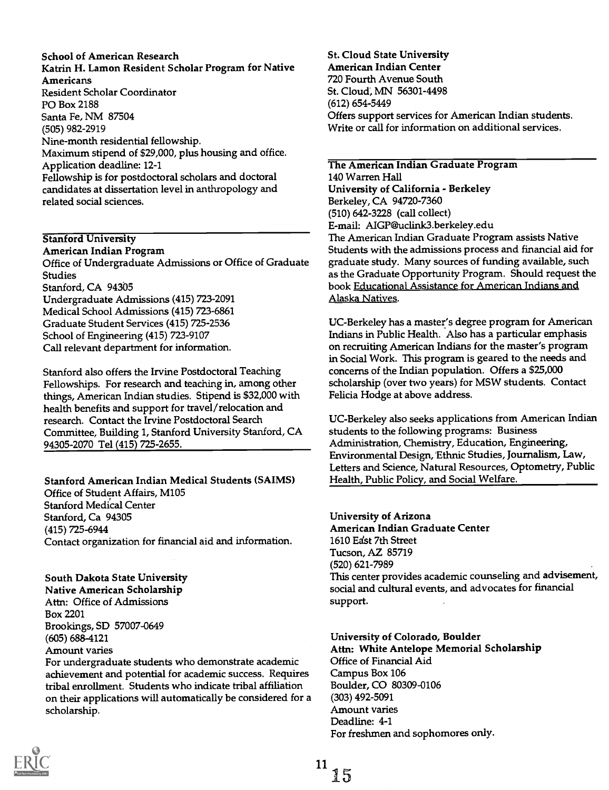### School of American Research Katrin H. Lamon Resident Scholar Program for Native Americans Resident Scholar Coordinator PO Box 2188 Santa Fe, NM 87504 (505) 982-2919 Nine-month residential fellowship. Maximum stipend of \$29,000, plus housing and office. Application deadline: 12-1 Fellowship is for postdoctoral scholars and doctoral candidates at dissertation level in anthropology and related social sciences.

## Stanford University

American Indian Program Office of Undergraduate Admissions or Office of Graduate Studies Stanford, CA 94305 Undergraduate Admissions (415) 723-2091 Medical School Admissions (415) 723-6861 Graduate Student Services (415) 725-2536 School of Engineering (415) 723-9107 Call relevant department for information.

Stanford also offers the Irvine Postdoctoral Teaching Fellowships. For research and teaching in, among other things, American Indian studies. Stipend is \$32,000 with health benefits and support for travel/relocation and research. Contact the Irvine Postdoctoral Search Committee, Building 1, Stanford University Stanford, CA 94305-2070 Tel (415) 725-2655.

## Stanford American Indian Medical Students (SAIMS)

Office of Student Affairs, M105 Stanford Medical Center Stanford, Ca 94305 (415) 725-6944 Contact organization for financial aid and information.

## South Dakota State University

Native American Scholarship Attn: Office of Admissions Box 2201 Brookings, SD 57007-0649 (605) 688-4121 Amount varies

For undergraduate students who demonstrate academic achievement and potential for academic success. Requires tribal enrollment. Students who indicate tribal affiliation on their applications will automatically be considered for a scholarship.

St. Cloud State University American Indian Center 720 Fourth Avenue South St. Cloud, MN 56301-4498 (612) 654-5449 Offers support services for American Indian students. Write or call for information on additional services.

The American Indian Graduate Program 140 Warren Hall University of California - Berkeley Berkeley, CA 94720-7360 (510) 642-3228 (call collect) E-mail: AIGP@uclink3.berkeley.edu The American Indian Graduate Program assists Native Students with the admissions process and financial aid for graduate study. Many sources of funding available, such as the Graduate Opportunity Program. Should request the book Educational Assistance for American Indians and Alaska Natives.

UC-Berkeley has a master's degree program for American Indians in Public Health. Also has a particular emphasis on recruiting American Indians for the master's program in Social Work. This program is geared to the needs and concerns of the Indian population. Offers a \$25,000 scholarship (over two years) for MSW students. Contact Felicia Hodge at above address.

UC-Berkeley also seeks applications from American Indian students to the following programs: Business Administration, Chemistry, Education, Engineering, Environmental Design, Ethnic Studies, Journalism, Law, Letters and Science, Natural Resources, Optometry, Public Health, Public Policy, and Social Welfare.

## University of Arizona

American Indian Graduate Center 1610 Edst 7th Street Tucson, AZ 85719 (520) 621-7989 This center provides academic counseling and advisement, social and cultural events, and advocates for financial support.

## University of Colorado, Boulder

Attn: White Antelope Memorial Scholarship Office of Financial Aid Campus Box 106 Boulder, CO 80309-0106 (303) 492-5091 Amount varies Deadline: 4-1 For freshmen and sophomores only.

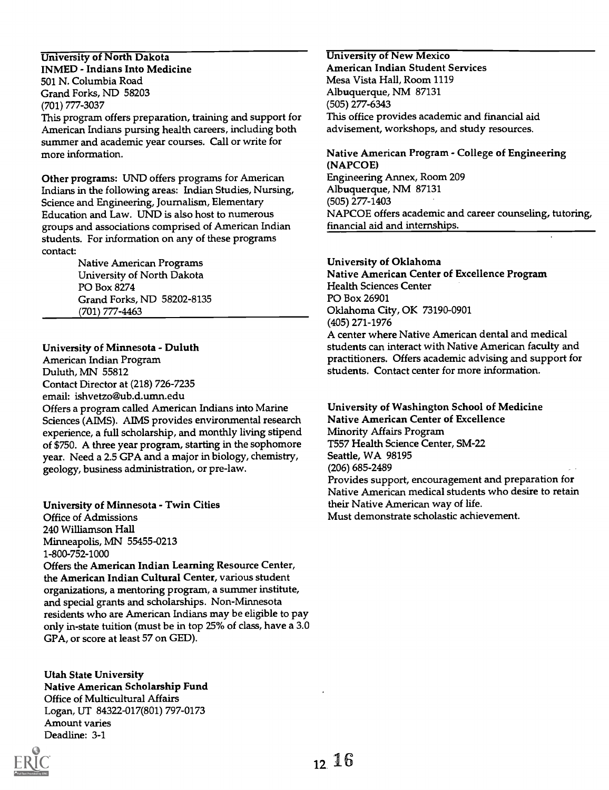### University of North Dakota INMED - Indians Into Medicine 501 N. Columbia Road Grand Forks, ND 58203 (701) 777-3037

This program offers preparation, training and support for American Indians pursing health careers, including both summer and academic year courses. Call or write for more information.

Other programs: UND offers programs for American Indians in the following areas: Indian Studies, Nursing, Science and Engineering, Journalism, Elementary Education and Law. UND is also host to numerous groups and associations comprised of American Indian students. For information on any of these programs contact:

> Native American Programs University of North Dakota PO Box 8274 Grand Forks, ND 58202-8135 (701) 777-4463

## University of Minnesota - Duluth

American Indian Program Duluth, MN 55812 Contact Director at (218) 726-7235 email: ishvetzo@ub.d.umn.edu Offers a program called American Indians into Marine Sciences (AIMS). AIMS provides environmental research experience, a full scholarship, and monthly living stipend of \$750. A three year program, starting in the sophomore year. Need a 2.5 GPA and a major in biology, chemistry, geology, business administration, or pre-law.

## University of Minnesota - Twin Cities

Office of Admissions 240 Williamson Hall Minneapolis, MN 55455-0213 1-800-752-1000

Offers the American Indian Learning Resource Center, the American Indian Cultural Center, various student organizations, a mentoring program, a summer institute, and special grants and scholarships. Non-Minnesota residents who are American Indians may be eligible to pay only in-state tuition (must be in top 25% of class, have a 3.0 GPA, or score at least 57 on GED).

Utah State University Native American Scholarship Fund Office of Multicultural Affairs Logan, UT 84322-017(801) 797-0173 Amount varies Deadline: 3-1



University of New Mexico American Indian Student Services Mesa Vista Hall, Room 1119 Albuquerque, NM 87131 (505) 277-6343 This office provides academic and financial aid advisement, workshops, and study resources.

Native American Program - College of Engineering (NAPCOE) Engineering Annex, Room 209 Albuquerque, NM 87131 (505) 277-1403 NAPCOE offers academic and career counseling, tutoring, financial aid and internships.

## University of Oklahoma

Native American Center of Excellence Program Health Sciences Center PO Box 26901 Oklahoma City, OK 73190-0901 (405) 271-1976 A center where Native American dental and medical students can interact with Native American faculty and practitioners. Offers academic advising and support for students. Contact center for more information.

University of Washington School of Medicine Native American Center of Excellence Minority Affairs Program T557 Health Science Center, SM-22 Seattle, WA 98195 (206) 685-2489 Provides support, encouragement and preparation for Native American medical students who desire to retain their Native American way of life. Must demonstrate scholastic achievement.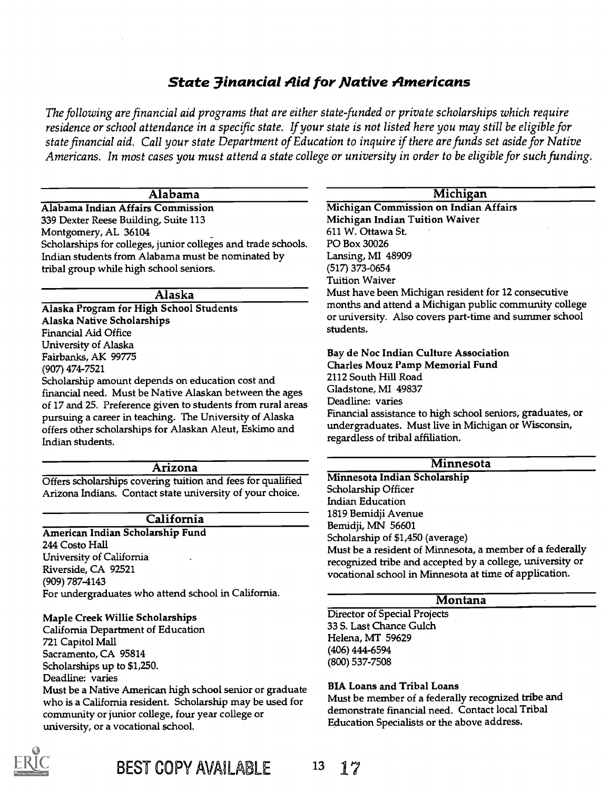# State 3inancial Aid for Native Americans

The following are financial aid programs that are either state funded or private scholarships which require residence or school attendance in a specific state. If your state is not listed here you may still be eligible for state financial aid. Call your state Department of Education to inquire if there are funds set aside for Native Americans. In most cases you must attend a state college or university in order to be eligible for such funding.

## Alabama

Alabama Indian Affairs Commission 339 Dexter Reese Building, Suite 113 Montgomery, AL 36104 Scholarships for colleges, junior colleges and trade schools. Indian students from Alabama must be nominated by tribal group while high school seniors.

#### Alaska

Alaska Program for High School Students Alaska Native Scholarships Financial Aid Office University of Alaska Fairbanks, AK 99775 (907) 474-7521 Scholarship amount depends on education cost and financial need. Must be Native Alaskan between the ages of 17 and 25. Preference given to students from rural areas

pursuing a career in teaching. The University of Alaska offers other scholarships for Alaskan Aleut, Eskimo and Indian students.

#### Arizona

Offers scholarships covering tuition and fees for qualified Arizona Indians. Contact state university of your choice.

#### California

American Indian Scholarship Fund 244 Costo Hall University of California Riverside, CA 92521 (909) 787-4143 For undergraduates who attend school in California.

#### Maple Creek Willie Scholarships

California Department of Education 721 Capitol Mall Sacramento, CA 95814 Scholarships up to \$1,250. Deadline: varies Must be a Native American high school senior or graduate who is a California resident. Scholarship may be used for community or junior college, four year college or university, or a vocational school.



| Michigan                                                                                                                                                                            |
|-------------------------------------------------------------------------------------------------------------------------------------------------------------------------------------|
| Michigan Commission on Indian Affairs                                                                                                                                               |
| Michigan Indian Tuition Waiver                                                                                                                                                      |
| 611 W. Ottawa St.                                                                                                                                                                   |
| PO Box 30026                                                                                                                                                                        |
| Lansing, MI 48909                                                                                                                                                                   |
| (517) 373-0654                                                                                                                                                                      |
| <b>Tuition Waiver</b>                                                                                                                                                               |
| Must have been Michigan resident for 12 consecutive<br>months and attend a Michigan public community college<br>or university. Also covers part-time and summer school<br>students. |
| Bay de Noc Indian Culture Association                                                                                                                                               |
| <b>Charles Mouz Pamp Memorial Fund</b>                                                                                                                                              |
| 2112 South Hill Road                                                                                                                                                                |
| Gladstone, MI 49837                                                                                                                                                                 |

Deadline: varies

Financial assistance to high school seniors, graduates, or undergraduates. Must live in Michigan or Wisconsin, regardless of tribal affiliation.

## Minnesota

Minnesota Indian Scholarship Scholarship Officer Indian Education 1819 Bemidji Avenue Bemidji, MN 56601 Scholarship of \$1,450 (average) Must be a resident of Minnesota, a member of a federally recognized tribe and accepted by a college, university or vocational school in Minnesota at time of application.

#### Montana

Director of Special Projects 33 S. Last Chance Gulch Helena, MT 59629 (406) 444-6594 (800) 537-7508

#### BIA Loans and Tribal Loans

Must be member of a federally recognized tribe and demonstrate financial need. Contact local Tribal Education Specialists or the above address.

BEST COPY AVAILABLE <sup>13</sup> 17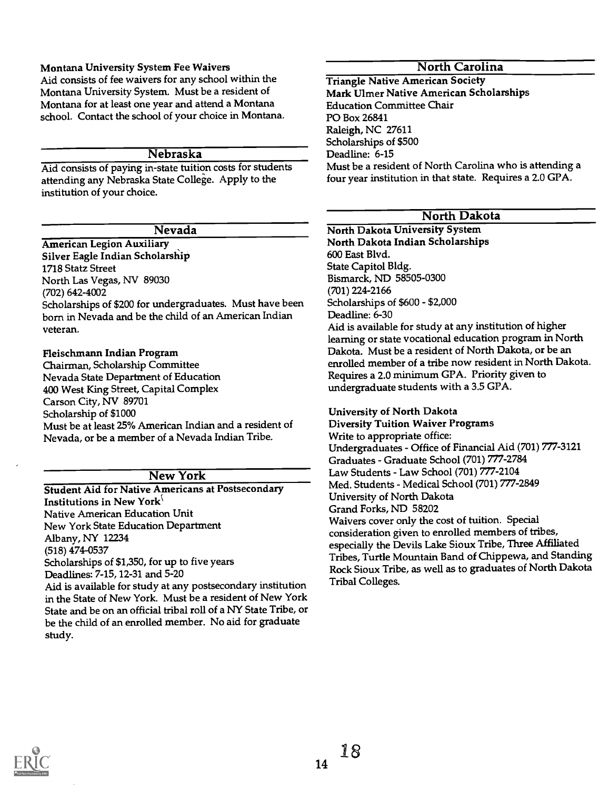## Montana University System Fee Waivers

Aid consists of fee waivers for any school within the Montana University System. Must be a resident of Montana for at least one year and attend a Montana school. Contact the school of your choice in Montana.

### Nebraska

Aid consists of paying in-state tuition costs for students attending any Nebraska State College. Apply to the institution of your choice.

#### Nevada

American Legion Auxiliary Silver Eagle Indian Scholarship 1718 Statz Street North Las Vegas, NV 89030 (702) 642-4002 Scholarships of \$200 for undergraduates. Must have been born in Nevada and be the child of an American Indian veteran.

#### Fleischmann Indian Program

Chairman, Scholarship Committee Nevada State Department of Education 400 West King Street, Capital Complex Carson City, NV 89701 Scholarship of \$1000 Must be at least 25% American Indian and a resident of Nevada, or be a member of a Nevada Indian Tribe.

## New York

Student Aid for Native Americans at Postsecondary Institutions in New York<sup>{</sup> Native American Education Unit New York State Education Department Albany, NY 12234 (518) 474-0537 Scholarships of \$1,350, for up to five years Deadlines: 7-15, 12-31 and 5-20 Aid is available for study at any postsecondary institution in the State of New York. Must be a resident of New York State and be on an official tribal roll of a NY State Tribe, or

be the child of an enrolled member. No aid for graduate

# North Carolina

Triangle Native American Society Mark Ulmer Native American Scholarships Education Committee Chair PO Box 26841 Raleigh, NC 27611 Scholarships of \$500 Deadline: 6-15 Must be a resident of North Carolina who is attending a four year institution in that state. Requires a 2.0 GPA.

## North Dakota

## North Dakota University System North Dakota Indian Scholarships 600 East Blvd. State Capitol Bldg. Bismarck, ND 58505-0300 (701) 224-2166 Scholarships of \$600 - \$2,000

Deadline: 6-30

Aid is available for study at any institution of higher learning or state vocational education program in North Dakota. Must be a resident of North Dakota, or be an enrolled member of a tribe now resident in North Dakota. Requires a 2.0 minimum GPA. Priority given to undergraduate students with a 3.5 GPA.

## University of North Dakota

Diversity Tuition Waiver Programs Write to appropriate office: Undergraduates - Office of Financial Aid (701) 777-3121 Graduates - Graduate School (701) 777-2784 Law Students - Law School (701) 777-2104 Med. Students - Medical School (701) 777-2849 University of North Dakota Grand Forks, ND 58202 Waivers cover only the cost of tuition. Special consideration given to enrolled members of tribes, especially the Devils Lake Sioux Tribe, Three Affiliated Tribes, Turtle Mountain Band of Chippewa, and Standing Rock Sioux Tribe, as well as to graduates of North Dakota Tribal Colleges.



study.

14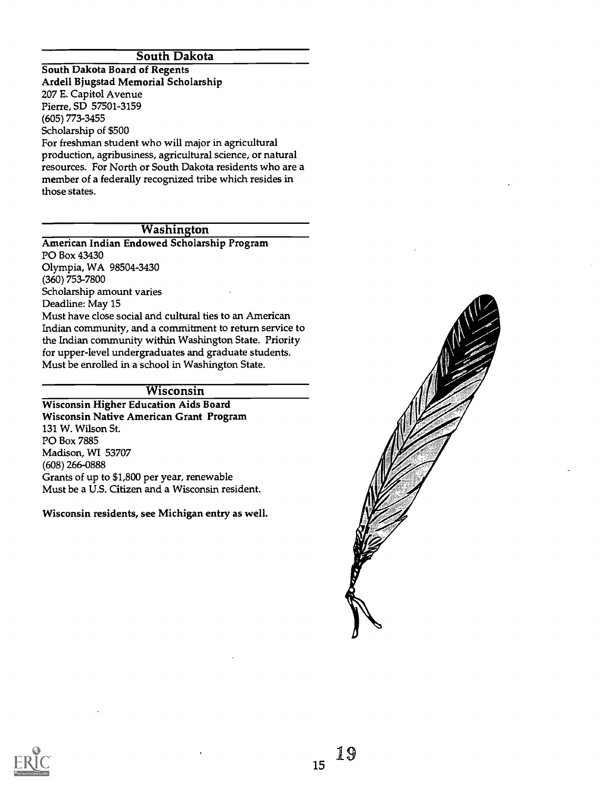## South Dakota

South Dakota Board of Regents Ardell Bjugstad Memorial Scholarship 207 E. Capitol Avenue Pierre, SD 57501-3159 (605) 773-3455 Scholarship of \$500 For freshman student who will major in agricultural production, agribusiness, agricultural science, or natural resources. For North or South Dakota residents who are a member of a federally recognized tribe which resides in those states.

## **Washington**

American Indian Endowed Scholarship Program PO Box 43430 Olympia, WA 98504-3430 (360) 753-7800 Scholarship amount varies Deadline: May 15 Must have close social and cultural ties to an American Indian community, and a commitment to return service to the Indian community within Washington State. Priority for upper-level undergraduates and graduate students. Must be enrolled in a school in Washington State.

## Wisconsin

Wisconsin Higher Education Aids Board Wisconsin Native American Grant Program 131 W. Wilson St. PO Box 7885 Madison, WI 53707 (608) 266-0888 Grants of up to \$1,800 per year, renewable Must be a U.S. Citizen and a Wisconsin resident.

Wisconsin residents, see Michigan entry as well.



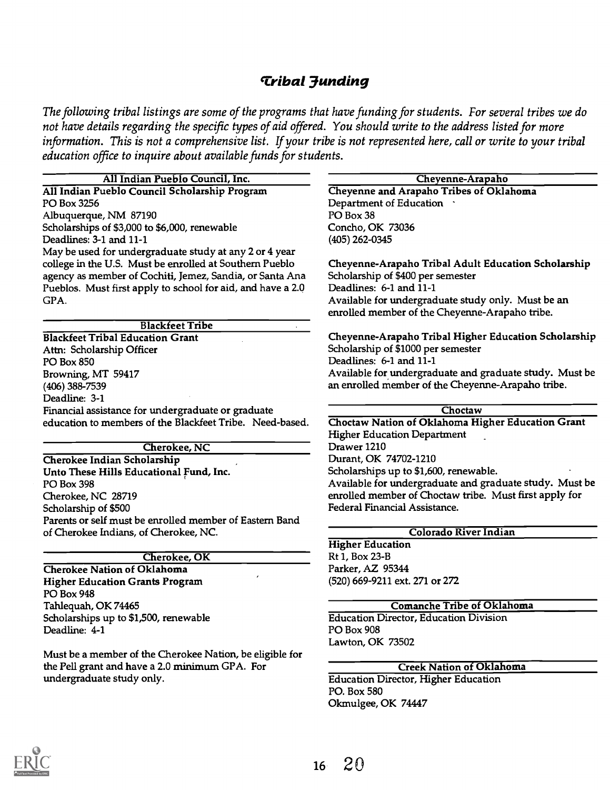# Tribal 3unding

The following tribal listings are some of the programs that have funding for students. For several tribes we do not have details regarding the specific types of aid offered. You should write to the address listed for more information. This is not a comprehensive list. If your tribe is not represented here, call or write to your tribal education office to inquire about available funds for students.

| All Indian Pueblo Council, Inc.                             | Cheyenne-Arapaho                                        |
|-------------------------------------------------------------|---------------------------------------------------------|
| All Indian Pueblo Council Scholarship Program               | Cheyenne and Arapaho Tribes of Oklahoma                 |
| PO Box 3256                                                 | Department of Education .                               |
| Albuquerque, NM 87190                                       | PO Box 38                                               |
| Scholarships of \$3,000 to \$6,000, renewable               | Concho, OK 73036                                        |
| Deadlines: 3-1 and 11-1                                     | $(405)$ 262-0345                                        |
| May be used for undergraduate study at any 2 or 4 year      |                                                         |
| college in the U.S. Must be enrolled at Southern Pueblo     | Cheyenne-Arapaho Tribal Adult Education Scholarship     |
| agency as member of Cochiti, Jemez, Sandia, or Santa Ana    | Scholarship of \$400 per semester                       |
| Pueblos. Must first apply to school for aid, and have a 2.0 | Deadlines: 6-1 and 11-1                                 |
| GPA.                                                        | Available for undergraduate study only. Must be an      |
|                                                             | enrolled member of the Cheyenne-Arapaho tribe.          |
| <b>Blackfeet Tribe</b>                                      |                                                         |
| <b>Blackfeet Tribal Education Grant</b>                     | Cheyenne-Arapaho Tribal Higher Education Scholarship    |
| Attn: Scholarship Officer                                   | Scholarship of \$1000 per semester                      |
| PO Box 850                                                  | Deadlines: 6-1 and 11-1                                 |
| Browning, MT 59417                                          | Available for undergraduate and graduate study. Must be |
| (406) 388-7539                                              | an enrolled member of the Cheyenne-Arapaho tribe.       |
| Deadline: 3-1                                               |                                                         |
| Financial assistance for undergraduate or graduate          | Choctaw                                                 |
| education to members of the Blackfeet Tribe. Need-based.    | Choctaw Nation of Oklahoma Higher Education Grant       |
|                                                             | <b>Higher Education Department</b>                      |
| <b>Cherokee, NC</b>                                         | Drawer 1210                                             |
| Cherokee Indian Scholarship                                 | Durant, OK 74702-1210                                   |
| Unto These Hills Educational Fund, Inc.                     | Scholarships up to \$1,600, renewable.                  |
| PO Box 398                                                  | Available for undergraduate and graduate study. Must be |
| Cherokee, NC 28719                                          | enrolled member of Choctaw tribe. Must first apply for  |
| Scholarship of \$500                                        | Federal Financial Assistance.                           |
| Parents or self must be enrolled member of Eastern Band     |                                                         |
| of Cherokee Indians, of Cherokee, NC.                       | Colorado River Indian                                   |
|                                                             | <b>Higher Education</b>                                 |
| <b>Cherokee</b> , OK                                        | Rt 1, Box 23-B                                          |
| <b>Cherokee Nation of Oklahoma</b>                          | Parker, AZ 95344                                        |
| <b>Higher Education Grants Program</b>                      | (520) 669-9211 ext. 271 or 272                          |
| PO Box 948                                                  |                                                         |
| Tahlequah, OK 74465                                         | <b>Comanche Tribe of Oklahoma</b>                       |
| Scholarships up to \$1,500, renewable                       | <b>Education Director, Education Division</b>           |
| Deadline: 4-1                                               | PO Box 908                                              |
|                                                             | Lawton, OK 73502                                        |
| Must be a member of the Cherokee Nation, be eligible for    |                                                         |
|                                                             | <b>Creek Nation of Oklahoma</b>                         |
| the Pell grant and have a 2.0 minimum GPA. For              |                                                         |
| undergraduate study only.                                   | <b>Education Director, Higher Education</b>             |
|                                                             | PO. Box 580                                             |

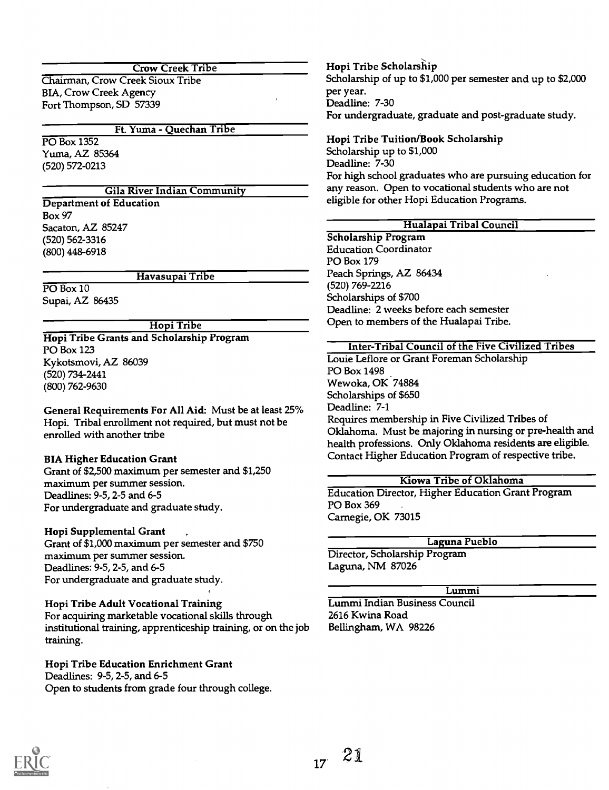#### Crow Creek Tribe

Chairman, Crow Creek Sioux Tribe BIA, Crow Creek Agency Fort Thompson, SD 57339

#### Ft. Yuma - Quechan Tribe

PO Box 1352 Yuma, AZ 85364 (520) 572-0213

#### Gila River Indian Community

Department of Education Box 97 Sacaton, AZ 85247 (520) 562-3316 (800) 448-6918

#### Havasupai Tribe

PO Box 10 Supai, AZ 86435

#### Hopi Tribe

Hopi Tribe Grants and Scholarship Program PO Box 123 Kykotsmovi, AZ 86039 (520) 734-2441 (800) 762-9630

General Requirements For All Aid: Must be at least 25% Hopi. Tribal enrollment not required, but must not be enrolled with another tribe

#### BIA Higher Education Grant

Grant of \$2,500 maximum per semester and \$1,250 maximum per summer session. Deadlines: 9-5, 2-5 and 6-5 For undergraduate and graduate study.

#### Hopi Supplemental Grant

Grant of \$1,000 maximum per semester and \$750 maximum per summer session. Deadlines: 9-5, 2-5, and 6-5 For undergraduate and graduate study.

#### Hopi Tribe Adult Vocational Training

For acquiring marketable vocational skills through institutional training, apprenticeship training, or on the job training.

#### Hopi Tribe Education Enrichment Grant Deadlines: 9-5, 2-5, and 6-5

Open to students from grade four through college.

Hopi Tribe Scholarship Scholarship of up to \$1,000 per semester and up to \$2,000 per year. Deadline: 7-30 For undergraduate, graduate and post-graduate study.

## Hopi Tribe Tuition/Book Scholarship Scholarship up to \$1,000 Deadline: 7-30 For high school graduates who are pursuing education for any reason. Open to vocational students who are not

eligible for other Hopi Education Programs.

## Hualapai Tribal Council

Scholarship Program Education Coordinator PO Box 179 Peach Springs, AZ 86434 (520) 769-2216 Scholarships of \$700 Deadline: 2 weeks before each semester Open to members of the Hualapai Tribe.

#### Inter-Tribal Council of the Five Civilized Tribes

Louie Leflore or Grant Foreman Scholarship PO Box 1498 Wewoka, OK 74884 Scholarships of \$650 Deadline: 7-1 Requires membership in Five Civilized Tribes of Oklahoma. Must be majoring in nursing or pre-health and health professions. Only Oklahoma residents are eligible. Contact Higher Education Program of respective tribe.

#### Kiowa Tribe of Oklahoma

Education Director, Higher Education Grant Program PO Box 369 Carnegie, OK 73015

## Laguna Pueblo

Director, Scholarship Program Laguna, NM 87026

## Lummi

Lummi Indian Business Council 2616 Kwina Road Bellingham, WA 98226

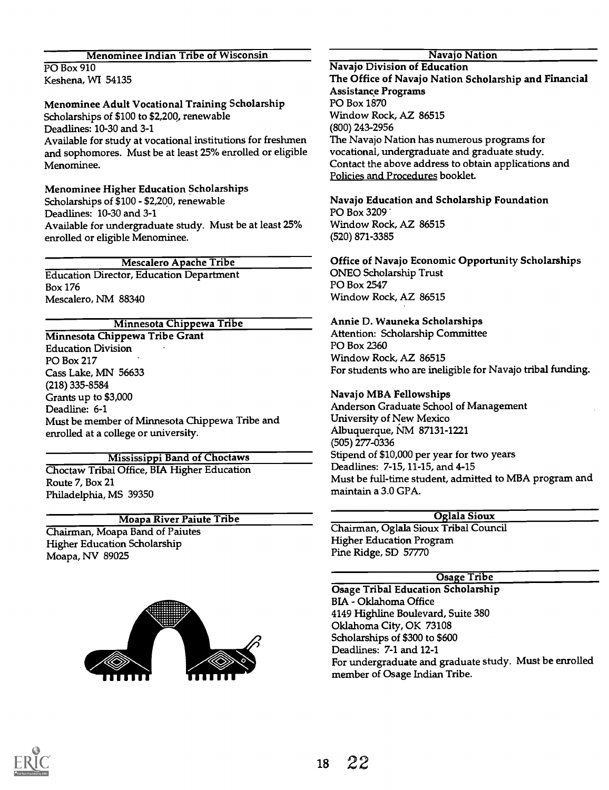## Menominee Indian Tribe of Wisconsin

PO Box 910 Keshena, WI 54135

## Menominee Adult Vocational Training Scholarship

Scholarships of \$100 to \$2,200, renewable Deadlines: 10-30 and 3-1 Available for study at vocational institutions for freshmen and sophomores. Must be at least 25% enrolled or eligible Menominee.

## Menominee Higher Education Scholarships Scholarships of \$100 - \$2,200, renewable Deadlines: 10-30 and 3-1 Available for undergraduate study. Must be at least 25% enrolled or eligible Menominee.

## Mescalero Apache Tribe

Education Director, Education Department Box 176 Mescalero, NM 88340

## Minnesota Chippewa Tribe

Minnesota Chippewa Tribe Grant Education Division PO Box 217 Cass Lake, MN 56633 (218) 335-8584 Grants up to \$3,000 Deadline: 6-1 Must be member of Minnesota Chippewa Tribe and enrolled at a college or university.

## Mississippi Band of Choctaws

Choctaw Tribal Office, BIA Higher Education Route 7, Box 21 Philadelphia, MS 39350

# Moapa River Paiute Tribe

Chairman, Moapa Band of Paiutes Higher Education Scholarship Moapa, NV 89025



## Navajo Nation

Navajo Division of Education The Office of Navajo Nation Scholarship and Financial Assistance Programs PO Box 1870 Window Rock, AZ 86515 (800) 243-2956 The Navajo Nation has numerous programs for vocational, undergraduate and graduate study. Contact the above address to obtain applications and Policies and Procedures booklet.

#### Navajo Education and Scholarship Foundation PO Box 3209

Window Rock, AZ 86515 (520) 871-3385

## Office of Navajo Economic Opportunity Scholarships

ONEO Scholarship Trust PO Box 2547 Window Rock, AZ 86515

## Annie D. Wauneka Scholarships

Attention: Scholarship Committee PO Box 2360 Window Rock, AZ 86515 For students who are ineligible for Navajo tribal funding.

## Navajo MBA Fellowships

Anderson Graduate School of Management University of New Mexico Albuquerque, NM 87131-1221 (505) 277-0336 Stipend of \$10,000 per year for two years Deadlines: 7-15, 11-15, and 4-15 Must be full-time student, admitted to MBA program and maintain a 3.0 GPA.

## Oglala Sioux

Chairman, Oglala Sioux Tribal Council Higher Education Program Pine Ridge, SD 57770

## Osage Tribe

Osage Tribal Education Scholarship BIA - Oklahoma Office 4149 Highline Boulevard, Suite 380 Oklahoma City, OK 73108 Scholarships of \$300 to \$600 Deadlines: 7-1 and 12-1 For undergraduate and graduate study. Must be enrolled member of Osage Indian Tribe.

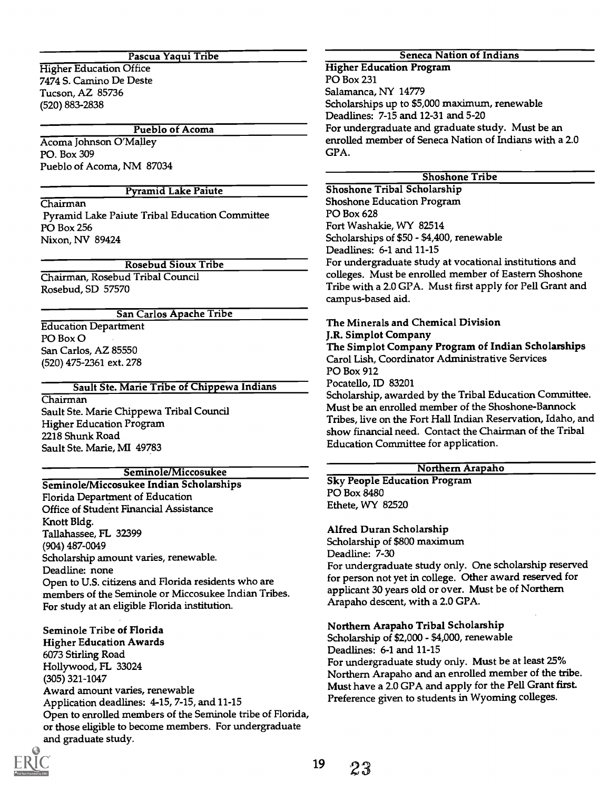#### Pascua Yaqui Tribe

Higher Education Office 7474 S. Camino De Deste Tucson, AZ 85736 (520) 883-2838

Pueblo of Acoma

Acoma Johnson O'Malley PO. Box 309 Pueblo of Acoma, NM 87034

## Pyramid Lake Paiute

Chairman Pyramid Lake Paiute Tribal Education Committee PO Box 256

Nixon, NV 89424

Rosebud Sioux Tribe

Chairman, Rosebud Tribal Council Rosebud, SD 57570

## San Carlos Apache Tribe

Education Department PO Box 0 San Carlos, AZ 85550 (520) 475-2361 ext. 278

#### Sault Ste. Marie Tribe of Chippewa Indians

Chairman Sault Ste. Marie Chippewa Tribal Council Higher Education Program 2218 Shunk Road Sault Ste. Marie, MI 49783

## Seminole/Miccosukee

Seminole/Miccosukee Indian Scholarships Florida Department of Education Office of Student Financial Assistance Knott Bldg. Tallahassee, FL 32399 (904) 487-0049 Scholarship amount varies, renewable. Deadline: none Open to U.S. citizens and Florida residents who are members of the Seminole or Miccosukee Indian Tribes. For study at an eligible Florida institution.

Seminole Tribe of Florida Higher Education Awards 6073 Stirling Road Hollywood, FL 33024 (305) 321-1047 Award amount varies, renewable Application deadlines: 4-15, 7-15, and 11-15 Open to enrolled members of the Seminole tribe of Florida, or those eligible to become members. For undergraduate and graduate study.

## Higher Education Program

PO Box 231 Salamanca, NY 14779 Scholarships up to \$5,000 maximum, renewable Deadlines: 7-15 and 12-31 and 5-20 For undergraduate and graduate study. Must be an enrolled member of Seneca Nation of Indians with a 2.0 GPA.

Seneca Nation of Indians

#### Shoshone Tribe

Shoshone Tribal Scholarship Shoshone Education Program PO Box 628 Fort Washakie, WY 82514 Scholarships of \$50 - \$4,400, renewable Deadlines: 6-1 and 11-15 For undergraduate study at vocational institutions and colleges. Must be enrolled member of Eastern Shoshone Tribe with a 2.0 GPA. Must first apply for Pell Grant and campus-based aid.

The Minerals and Chemical Division J.R. Simplot Company The Simplot Company Program of Indian Scholarships Carol Lish, Coordinator Administrative Services PO Box 912 Pocatello, ID 83201

Scholarship, awarded by the Tribal Education Committee. Must be an enrolled member of the Shoshone-Bannock Tribes, live on the Fort Hall Indian Reservation, Idaho, and show financial need. Contact the Chairman of the Tribal Education Committee for application.

## Northern Arapaho

Sky People Education Program PO Box 8480 Ethete, WY 82520

#### Alfred Duran Scholarship

Scholarship of \$800 maximum Deadline: 7-30 For undergraduate study only. One scholarship reserved for person not yet in college. Other award reserved for applicant 30 years old or over. Must be of Northern Arapaho descent, with a 2.0 GPA.

## Northern Arapaho Tribal Scholarship

Scholarship of \$2,000 - \$4,000, renewable Deadlines: 6-1 and 11-15 For undergraduate study only. Must be at least 25% Northern Arapaho and an enrolled member of the tribe. Must have a 2.0 GPA and apply for the Pell Grant first. Preference given to students in Wyoming colleges.

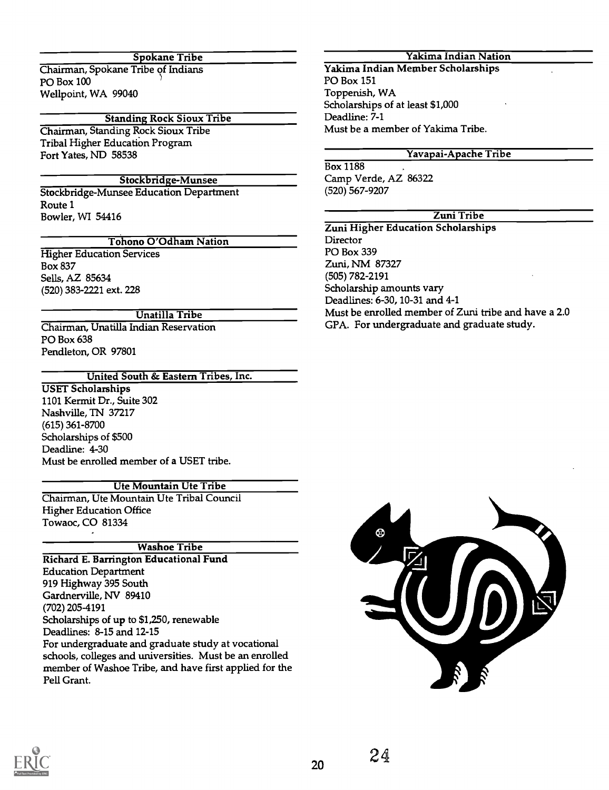## Spokane Tribe

Chairman, Spokane Tribe of Indians PO Box 100 Wellpoint, WA 99040

#### Standing Rock Sioux Tribe

Chairman, Standing Rock Sioux Tribe Tribal Higher Education Program Fort Yates, ND 58538

## Stockbridge-Munsee

Stockbridge-Munsee Education Department Route 1 Bowler, WI 54416

#### Tohono O'Odham Nation

Higher Education Services Box 837 Sells, AZ 85634 (520) 383-2221 ext. 228

#### Unatilla Tribe

Chairman, Unatilla Indian Reservation PO Box 638 Pendleton, OR 97801

#### United South & Eastern Tribes, Inc.

USET Scholarships 1101 Kermit Dr., Suite 302 Nashville, TN 37217 (615) 361-8700 Scholarships of \$500 Deadline: 4-30 Must be enrolled member of a USET tribe.

#### Ute Mountain Ute Tribe

Chairman, Ute Mountain Ute Tribal Council Higher Education Office Towaoc, CO 81334

#### Washoe Tribe

Richard E. Barrington Educational Fund Education Department 919 Highway 395 South Gardnerville, NV 89410 (702) 205-4191 Scholarships of up to \$1,250, renewable Deadlines: 8-15 and 12-15 For undergraduate and graduate study at vocational schools, colleges and universities. Must be an enrolled member of Washoe Tribe, and have first applied for the Pell Grant.

## Yakima Indian Nation

Yakima Indian Member Scholarships PO Box 151 Toppenish, WA Scholarships of at least \$1,000 Deadline: 7-1 Must be a member of Yakima Tribe.

#### Yavapai-Apache Tribe

Box 1188 Camp Verde, AZ 86322 (520) 567-9207

## Zuni Tribe

Zuni Higher Education Scholarships **Director** PO Box 339 Zuni, NM 87327 (505) 782-2191 Scholarship amounts vary Deadlines: 6-30, 10-31 and 4-1 Must be enrolled member of Zuni tribe and have a 2.0 GPA. For undergraduate and graduate study.



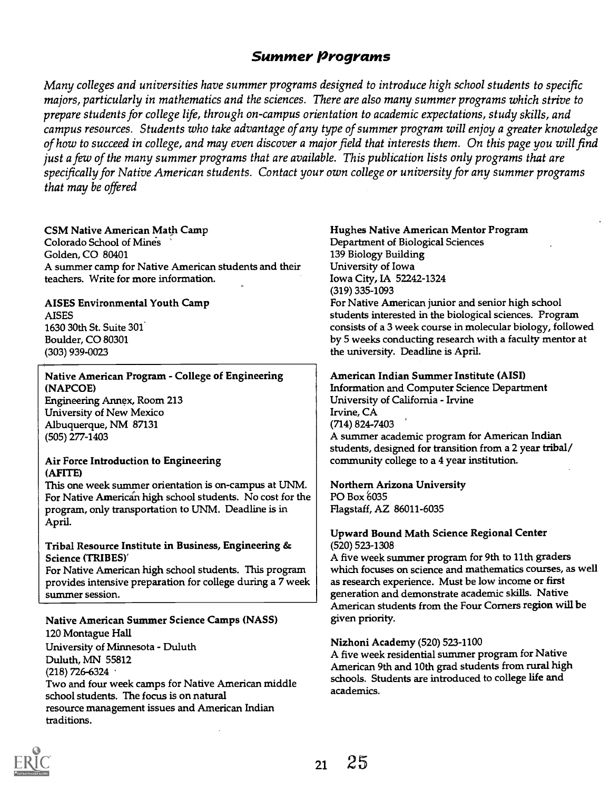# Summer Programs

Many colleges and universities have summer programs designed to introduce high school students to specific majors, particularly in mathematics and the sciences. There are also many summer programs which strive to prepare students for college life, through on-campus orientation to academic expectations, study skills, and campus resources. Students who take advantage of any type of summer program will enjoy a greater knowledge of how to succeed in college, and may even discover a major field that interests them. On this page you will find just a few of the many summer programs that are available. This publication lists only programs that are specifically for Native American students. Contact your own college or university for any summer programs that may be offered

#### CSM Native American Math Camp

Colorado School of Mines Golden, CO 80401 A summer camp for Native American students and their teachers. Write for more information.

## AISES Environmental Youth Camp

AISES 1630 30th St. Suite 301\* Boulder, CO 80301 (303) 939-0023

## Native American Program - College of Engineering (NAPCOE)

Engineering Annex, Room 213 University of New Mexico Albuquerque, NM 87131 (505) 277-1403

#### Air Force Introduction to Engineering (AFITE)

This one week summer orientation is on-campus at UNM. For Native American high school students. No cost for the program, only transportation to UNM. Deadline is in April.

#### Tribal Resource Institute in Business, Engineering & Science (TRIBES)`

For Native American high school students. This program provides intensive preparation for college during a 7 week summer session.

## Native American Summer Science Camps (NASS)

120 Montague Hall University of Minnesota - Duluth Duluth, MN 55812 (218) 726-6324 Two and four week camps for Native American middle school students. The focus is on natural resource management issues and American Indian traditions.

#### Hughes Native American Mentor Program

Department of Biological Sciences 139 Biology Building University of Iowa Iowa City, IA 52242-1324 (319) 335-1093

For Native American junior and senior high school students interested in the biological sciences. Program consists of a 3 week course in molecular biology, followed by 5 weeks conducting research with a faculty mentor at the university. Deadline is April.

#### American Indian Summer Institute (AISI)

Information and Computer Science Department University of California - Irvine Irvine, CA (714) 824-7403 A summer academic program for American Indian students, designed for transition from a 2 year tribal/ community college to a 4 year institution.

Northern Arizona University PO Box 6035 Flagstaff, AZ 86011-6035

#### Upward Bound Math Science Regional Center (520) 523-1308

A five week summer program for 9th to 11th graders which focuses on science and mathematics courses, as well as research experience. Must be low income or first generation and demonstrate academic skills. Native American students from the Four Corners region will be given priority.

#### Nizhoni Academy (520) 523-1100

A five week residential summer program for Native American 9th and 10th grad students from rural high schools. Students are introduced to college life and academics.

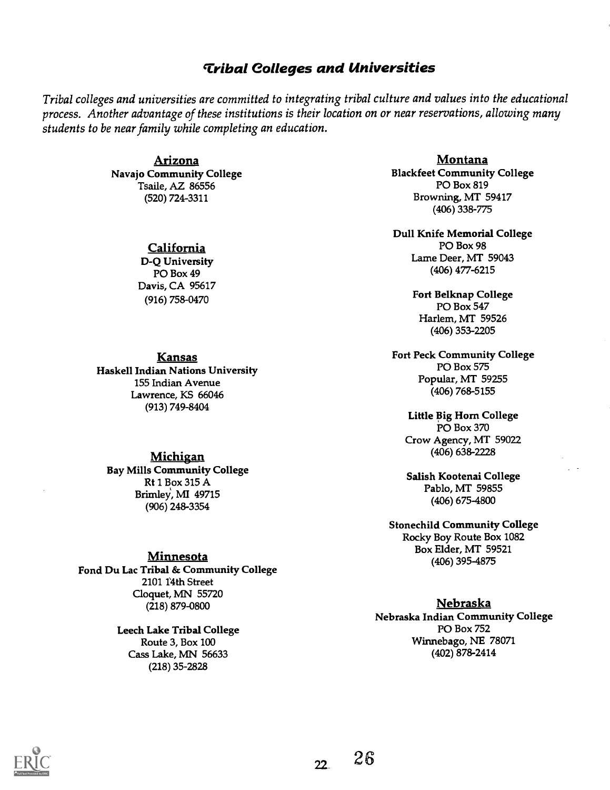# 'tribal Colleges and Universities

Tribal colleges and universities are committed to integrating tribal culture and values into the educational process. Another advantage of these institutions is their location on or near reservations, allowing many students to be near family while completing an education.

> Arizona Navajo Community College Tsaile, AZ 86556 (520) 724-3311

> > California

D-Q University PO Box 49 Davis, CA 95617 (916) 758-0470

#### **Kansas**

Haskell Indian Nations University 155 Indian Avenue Lawrence, KS 66046 (913) 749-8404

#### Michigan

Bay Mills Community College Rt 1 Box 315 A Brimley, MI 49715 (906) 248-3354

## **Minnesota**

Fond Du Lac Tribal & Community College 2101 14th Street Cloquet, MN 55720 (218) 879-0800

> Leech Lake Tribal College Route 3, Box 100 Cass Lake, MN 56633 (218) 35-2828

Montana Blackfeet Community College PO Box 819 Browning, MT 59417 (406) 338-775

Dull Knife Memorial College PO Box 98 Lame Deer, MT 59043 (406) 477-6215

> Fort Belknap College PO Box 547 Harlem, MT 59526 (406) 353-2205

Fort Peck Community College PO Box 575 Popular, MT 59255 (406) 768-5155

Little Big Horn College PO Box 370 Crow Agency, MT 59022 (406) 638-2228

Salish Kootenai College Pablo, MT 59855 (406) 675-4800

Stonechild Community College Rocky Boy Route Box 1082 Box Elder, MT 59521 (406) 395-4875

#### Nebraska

Nebraska Indian Community College PO Box 752 Winnebago, NE 78071 (402) 878-2414



 $22<sub>1</sub>$ 

 $26$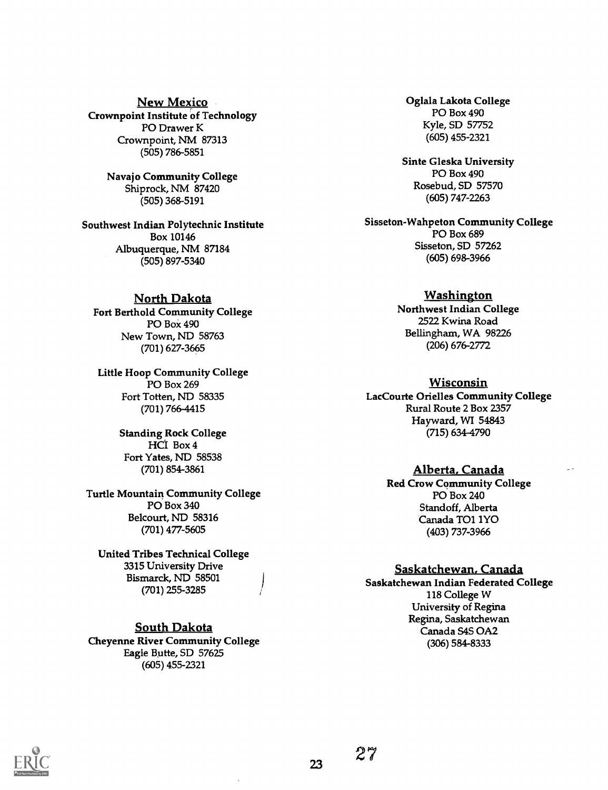New Mexico Crownpoint Institute of Technology PO Drawer K Crownpoint, NM 87313 (505) 786-5851

> Navajo Community College Shiprock, NM 87420 (505) 368-5191

Southwest Indian Polytechnic Institute Box 10146 Albuquerque, NM 87184 (505) 897-5340

## North Dakota

Fort Berthold Community College PO Box 490 New Town, ND 58763 (701) 627-3665

Little Hoop Community College PO Box 269 Fort Totten, ND 58335 (701) 766-4415

> Standing Rock College HCI Box 4 Fort Yates, ND 58538 (701) 854-3861

#### Turtle Mountain Community College PO Box 340 Belcourt, ND 58316 (701) 477-5605

United Tribes Technical College 3315 University Drive Bismarck, ND 58501 (701) 255-3285

South Dakota Cheyenne River Community College Eagle Butte, SD 57625 (605) 455-2321

Oglala Lakota College PO Box 490 Kyle, SD 57752 (605) 455-2321

Sinte Gleska University PO Box 490 Rosebud, SD 57570 (605) 747-2263

Sisseton-Wahpeton Community College PO Box 689 Sisseton, SD 57262 (605) 698-3966

#### Washington

Northwest Indian College 2522 Kwina Road Bellingham, WA 98226 (206) 676-2772

#### Wisconsin

LacCourte Orielles Community College Rural Route 2 Box 2357 Hayward, WI 54843 (715) 634-4790

### Alberta, Canada

Red Crow Community College PO Box 240 Standoff, Alberta Canada TO1 1Y0 (403) 737-3966

#### Saskatchewan, Canada

Saskatchewan Indian Federated College 118 College W University of Regina Regina, Saskatchewan Canada S4S 0A2 (306) 584-8333



23

27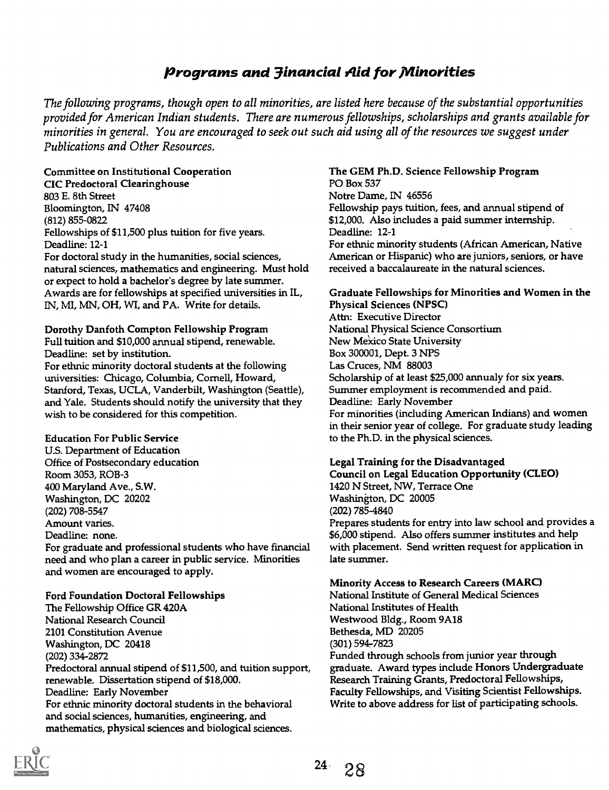# Programs and 3inancial Aid for Minorities

The following programs, though open to all minorities, are listed here because of the substantial opportunities provided for American Indian students. There are numerous fellowships, scholarships and grants available for minorities in general. You are encouraged to seek out such aid using all of the resources we suggest under Publications and Other Resources.

## Committee on Institutional Cooperation CIC Predoctoral Clearinghouse 803 E. 8th Street Bloomington, IN 47408 (812) 855-0822

Fellowships of \$11,500 plus tuition for five years. Deadline: 12-1

For doctoral study in the humanities, social sciences, natural sciences, mathematics and engineering. Must hold or expect to hold a bachelor's degree by late summer. Awards are for fellowships at specified universities in IL, IN, MI, MN, OH, WI, and PA. Write for details.

Dorothy Danfoth Compton Fellowship Program Full tuition and \$10,000 annual stipend, renewable. Deadline: set by institution.

For ethnic minority doctoral students at the following universities: Chicago, Columbia, Cornell, Howard, Stanford, Texas, UCLA, Vanderbilt, Washington (Seattle), and Yale. Students should notify the university that they wish to be considered for this competition.

## Education For Public Service

U.S. Department of Education Office of Postsecondary education Room 3053, ROB-3 400 Maryland Ave., S.W. Washington, DC 20202 (202) 708-5547 Amount varies. Deadline: none. For graduate and professional students who have financial

need and who plan a career in public service. Minorities and women are encouraged to apply.

## Ford Foundation Doctoral Fellowships The Fellowship Office GR 420A National Research Council 2101 Constitution Avenue Washington, DC 20418 (202) 334-2872 Predoctoral annual stipend of \$11,500, and tuition support, renewable. Dissertation stipend of \$18,000. Deadline: Early November For ethnic minority doctoral students in the behavioral and social sciences, humanities, engineering, and mathematics, physical sciences and biological sciences.

## The GEM Ph.D. Science Fellowship Program PO Box 537 Notre Dame, IN 46556 Fellowship pays tuition, fees, and annual stipend of

\$12,000. Also includes a paid summer internship. Deadline: 12-1 For ethnic minority students (African American, Native American or Hispanic) who are juniors, seniors, or have received a baccalaureate in the natural sciences.

#### Graduate Fellowships for Minorities and Women in the Physical Sciences (NPSC) Attn: Executive Director National Physical Science Consortium New Mexico State University Box 300001, Dept. 3 NPS Las Cruces, NM 88003 Scholarship of at least \$25,000 annualy for six years. Summer employment is recommended and paid. Deadline: Early November For minorities (including American Indians) and women in their senior year of college. For graduate study leading to the Ph.D. in the physical sciences.

## Legal Training for the Disadvantaged

Council on Legal Education Opportunity (CLEO) 1420 N Street, NW, Terrace One Washington, DC 20005 (202) 785-4840 Prepares students for entry into law school and provides a \$6,000 stipend. Also offers summer institutes and help with placement. Send written request for application in late summer.

## Minority Access to Research Careers (MARC)

National Institute of General Medical Sciences National Institutes of Health Westwood Bldg., Room 9A18 Bethesda, MD 20205 (301) 5947823 Funded through schools from junior year through graduate. Award types include Honors Undergraduate Research Training Grants, Predoctoral Fellowships, Faculty Fellowships, and Visiting Scientist Fellowships. Write to above address for list of participating schools.

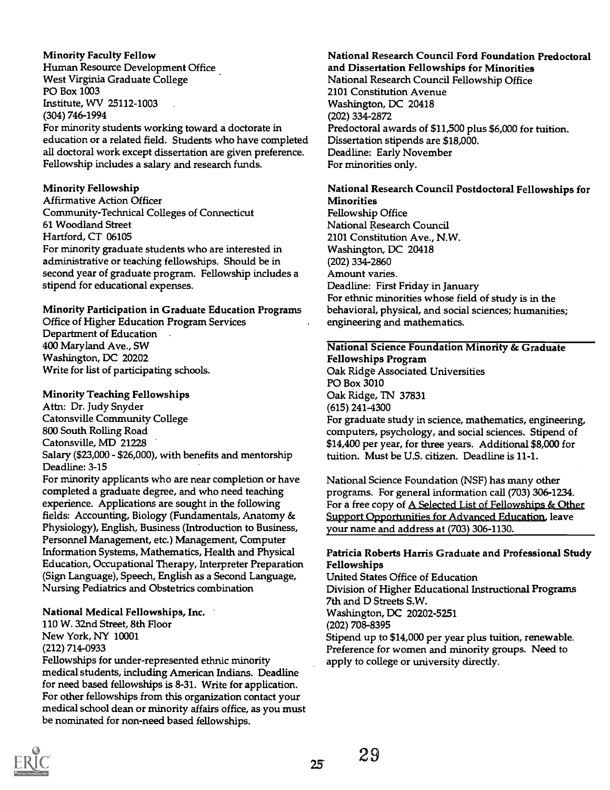Minority Faculty Fellow Human Resource Development Office West Virginia Graduate College PO Box 1003 Institute, WV 25112-1003 (304) 746-1994 For minority students working toward a doctorate in education or a related field. Students who have completed all doctoral work except dissertation are given preference. Fellowship includes a salary and research funds.

## Minority Fellowship

Affirmative Action Officer Community-Technical Colleges of Connecticut 61 Woodland Street Hartford, CT 06105 For minority graduate students who are interested in administrative or teaching fellowships. Should be in second year of graduate program. Fellowship includes a stipend for educational expenses.

## Minority Participation in Graduate Education Programs

Office of Higher Education Program Services Department of Education 400 Maryland Ave., SW Washington, DC 20202 Write for list of participating schools.

## Minority Teaching Fellowships

Attn: Dr. Judy Snyder Catonsville Community College 800 South Rolling Road Catonsville, MD 21228 Salary (\$23,000 - \$26,000), with benefits and mentorship Deadline: 3-15

For minority applicants who are near completion or have completed a graduate degree, and who need teaching experience. Applications are sought in the following fields: Accounting, Biology (Fundamentals, Anatomy & Physiology), English, Business (Introduction to Business, Personnel Management, etc.) Management, Computer Information Systems, Mathematics, Health and Physical Education, Occupational Therapy, Interpreter Preparation (Sign Language), Speech, English as a Second Language, Nursing Pediatrics and Obstetrics combination

## National Medical Fellowships, Inc.

110 W. 32nd Street, 8th Floor New York, NY 10001 (212) 714-0933

Fellowships for under-represented ethnic minority medical students, including American Indians. Deadline for need based fellowships is 8-31. Write for application. For other fellowships from this organization contact your medical school dean or minority affairs office, as you must be nominated for non-need based fellowships.

## National Research Council Ford Foundation Predoctoral and Dissertation Fellowships for Minorities

National Research Council Fellowship Office 2101 Constitution Avenue Washington, DC 20418 (202) 334-2872 Predoctoral awards of \$11,500 plus \$6,000 for tuition. Dissertation stipends are \$18,000. Deadline: Early November For minorities only.

## National Research Council Postdoctoral Fellowships for **Minorities**

Fellowship Office National Research Council 2101 Constitution Ave., N.W. Washington, DC 20418 (202) 334-2860 Amount varies. Deadline: First Friday in January For ethnic minorities whose field of study is in the behavioral, physical, and social sciences; humanities; engineering and mathematics.

#### National Science Foundation Minority & Graduate Fellowships Program

Oak Ridge Associated Universities PO Box 3010 Oak Ridge, TN 37831 (615) 241-4300 For graduate study in science, mathematics, engineering, computers, psychology, and social sciences. Stipend of \$14,400 per year, for three years. Additional \$8,000 for

tuition. Must be U.S. citizen. Deadline is 11-1.

National Science Foundation (NSF) has many other programs. For general information call (703) 306-1234. For a free copy of A Selected List of Fellowships & Other Support Opportunities for Advanced Education, leave your name and address at (703) 306-1130.

## Patricia Roberts Harris Graduate and Professional Study Fellowships

United States Office of Education Division of Higher Educational Instructional Programs 7th and D Streets S.W. Washington, DC 20202-5251 (202) 708-8395 Stipend up to \$14,000 per year plus tuition, renewable. Preference for women and minority groups. Need to apply to college or university directly.



25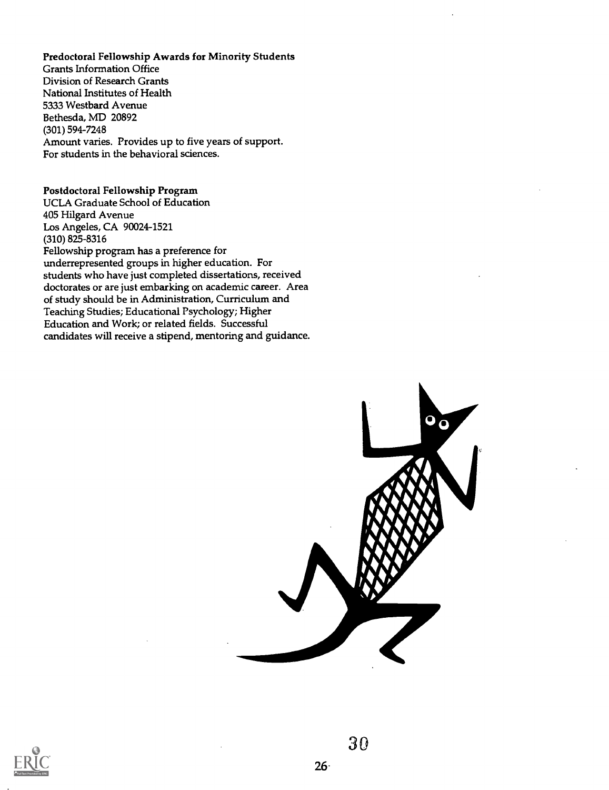Predoctoral Fellowship Awards for Minority Students Grants Information Office Division of Research Grants National Institutes of Health 5333 Westbard Avenue Bethesda, MD 20892 (301) 594-7248 Amount varies. Provides up to five years of support. For students in the behavioral sciences.

Postdoctoral Fellowship Program UCLA Graduate School of Education 405 Hilgard Avenue Los Angeles, CA 90024-1521 (310) 825-8316 Fellowship program has a preference for underrepresented groups in higher education. For students who have just completed dissertations, received doctorates or are just embarking on academic career. Area of study should be in Administration, Curriculum and Teaching Studies; Educational Psychology; Higher Education and Work; or related fields. Successful candidates will receive a stipend, mentoring and guidance.



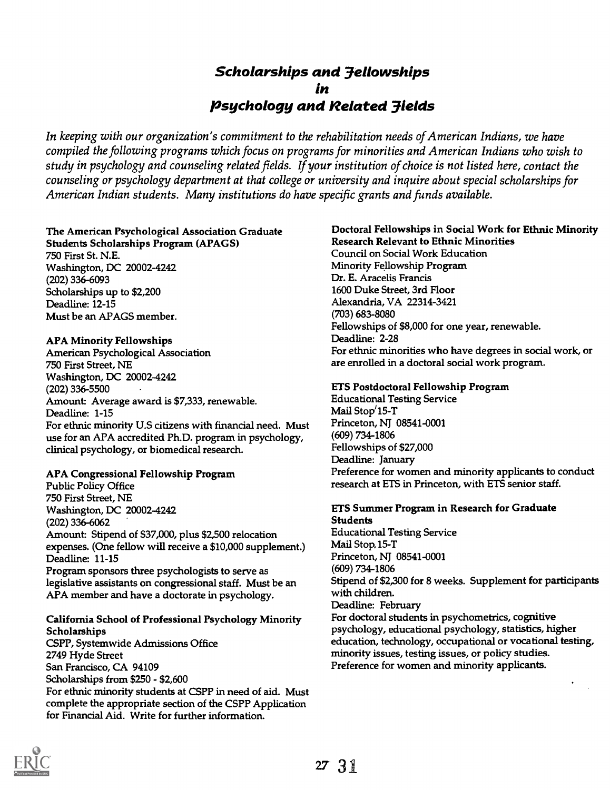# Scholarships and 3ellowships in Psychology and Related 3ields

In keeping with our organization's commitment to the rehabilitation needs of American Indians, we have compiled the following programs which focus on programs for minorities and American Indians who wish to study in psychology and counseling related fields. If your institution of choice is not listed here, contact the counseling or psychology department at that college or university and inquire about special scholarships for American Indian students. Many institutions do have specific grants and funds available.

## The American Psychological Association Graduate

Students Scholarships Program (APAGS) 750 First St. N.E. Washington, DC 20002-4242 (202) 336-6093 Scholarships up to \$2,200 Deadline: 12-15 Must be an APAGS member.

## APA Minority Fellowships

American Psychological Association 750 First Street, NE Washington, DC 20002-4242 (202) 336-5500 Amount: Average award is \$7,333, renewable. Deadline: 1-15 For ethnic minority U.S citizens with financial need. Must use for an APA accredited Ph.D. program in psychology, clinical psychology, or biomedical research.

## APA Congressional Fellowship Program

Public Policy Office 750 First Street, NE Washington, DC 20002-4242 (202) 336-6062 Amount: Stipend of \$37,000, plus \$2,500 relocation expenses. (One fellow will receive a \$10,000 supplement.) Deadline: 11-15 Program sponsors three psychologists to serve as legislative assistants on congressional staff. Must be an APA member and have a doctorate in psychology.

## California School of Professional Psychology Minority **Scholarships**

CSPP, Systemwide Admissions Office 2749 Hyde Street San Francisco, CA 94109 Scholarships from \$250 - \$2,600 For ethnic minority students at CSPP in need of aid. Must complete the appropriate section of the CSPP Application for Financial Aid. Write for further information.

## Doctoral Fellowships in Social Work for Ethnic Minority Research Relevant to Ethnic Minorities

Council on Social Work Education Minority Fellowship Program Dr. E. Aracelis Francis 1600 Duke Street, 3rd Floor Alexandria, VA 22314-3421 (703) 683-8080 Fellowships of \$8,000 for one year, renewable. Deadline: 2-28 For ethnic minorities who have degrees in social work, or are enrolled in a doctoral social work program.

## ETS Postdoctoral Fellowship Program

Educational Testing Service Mail Stop'15-T Princeton, NJ 08541-0001 (609) 734-1806 Fellowships of \$27,000 Deadline: January Preference for women and minority applicants to conduct research at ETS in Princeton, with ETS senior staff.

# ETS Summer Program in Research for Graduate Students

Educational Testing Service Mail Stop, 15-T Princeton, NJ 08541-0001 (609) 734-1806 Stipend of \$2,300 for 8 weeks. Supplement for participants with children. Deadline: February For doctoral students in psychometrics, cognitive psychology, educational psychology, statistics, higher education, technology, occupational or vocational testing, minority issues, testing issues, or policy studies. Preference for women and minority applicants.

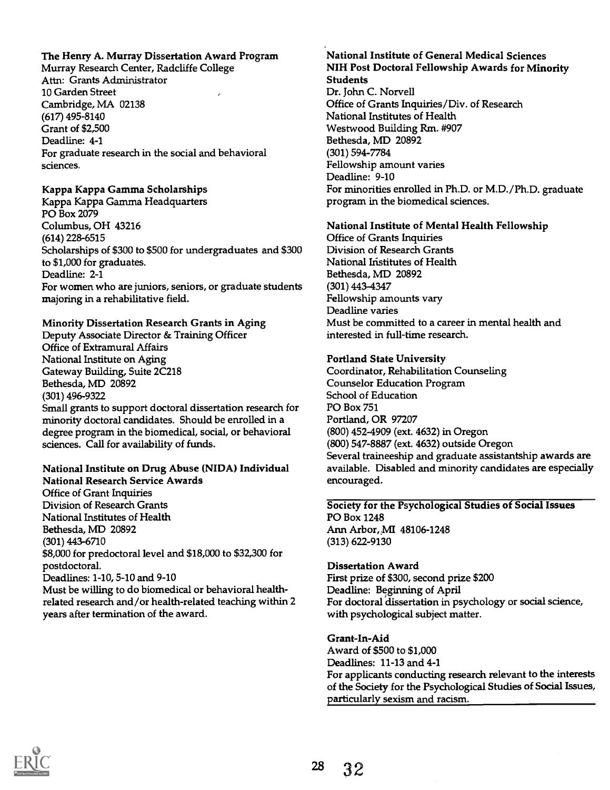## The Henry A. Murray Dissertation Award Program

Murray Research Center, Radcliffe College Attn: Grants Administrator 10 Garden Street Cambridge, MA 02138 (617) 495-8140 Grant of \$2,500 Deadline: 4-1 For graduate research in the social and behavioral sciences.

#### Kappa Kappa Gamma Scholarships

Kappa Kappa Gamma Headquarters PO Box 2079 Columbus, OH 43216 (614) 228-6515 Scholarships of \$300 to \$500 for undergraduates and \$300 to \$1,000 for graduates. Deadline: 2-1 For women who are juniors, seniors, or graduate students majoring in a rehabilitative field.

#### Minority Dissertation Research Grants in Aging

Deputy Associate Director & Training Officer Office of Extramural Affairs National Institute on Aging Gateway Building, Suite 2C218 Bethesda, MD 20892 (301) 496-9322 Small grants to support doctoral dissertation research for minority doctoral candidates. Should be enrolled in a degree program in the biomedical, social, or behavioral

## National Institute on Drug Abuse (NIDA) Individual National Research Service Awards

sciences. Call for availability of funds.

Office of Grant Inquiries Division of Research Grants National Institutes of Health Bethesda, MD 20892 (301) 443-6710 \$8,000 for predoctoral level and \$18,000 to \$32,300 for postdoctoral. Deadlines: 1-10, 5-10 and 9-10 Must be willing to do biomedical or behavioral healthrelated research and/or health-related teaching within 2 years after termination of the award.

#### National Institute of General Medical Sciences NIH Post Doctoral Fellowship Awards for Minority Students

Dr. John C. Norvell Office of Grants Inquiries/Div. of Research National Institutes of Health Westwood Building Rm. #907 Bethesda, MD 20892 (301) 594-7784 Fellowship amount varies Deadline: 9-10 For minorities enrolled in Ph.D. or M.D./Ph.D. graduate program in the biomedical sciences.

#### National Institute of Mental Health Fellowship

Office of Grants Inquiries Division of Research Grants National Institutes of Health Bethesda, MD 20892 (301) 443-4347 Fellowship amounts vary Deadline varies Must be committed to a career in mental health and interested in full-time research.

#### Portland State University

Coordinator, Rehabilitation Counseling Counselor Education Program School of Education PO Box 751 Portland, OR 97207 (800) 452-4909 (ext. 4632) in Oregon (800) 547-8887 (ext. 4632) outside Oregon Several traineeship and graduate assistantship awards are available. Disabled and minority candidates are especially encouraged.

#### Society for the Psychological Studies of Social Issues PO Box 1248 Ann Arbor, MI 48106-1248 (313) 622-9130

#### Dissertation Award

First prize of \$300, second prize \$200 Deadline: Beginning of April For doctoral dissertation in psychology or social science, with psychological subject matter.

#### Grant-In-Aid

Award of \$500 to \$1,000 Deadlines: 11-13 and 4-1 For applicants conducting research relevant to the interests of the Society for the Psychological Studies of Social Issues, particularly sexism and racism.

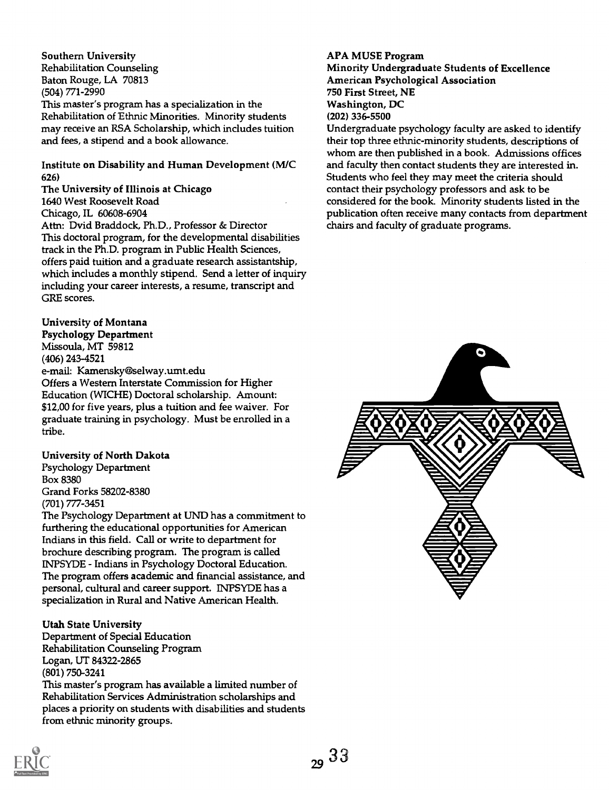Southern University Rehabilitation Counseling Baton Rouge, LA 70813 (504) 771-2990 This master's program has a specialization in the Rehabilitation of Ethnic Minorities. Minority students may receive an RSA Scholarship, which includes tuition and fees, a stipend and a book allowance.

## Institute on Disability and Human Development (M/C 626)

The University of Illinois at Chicago

1640 West Roosevelt Road

Chicago, IL 60608-6904

Attn: Dvid Braddock, Ph.D., Professor & Director This doctoral program, for the developmental disabilities track in the Ph.D. program in Public Health Sciences, offers paid tuition and a graduate research assistantship, which includes a monthly stipend. Send a letter of inquiry including your career interests, a resume, transcript and GRE scores.

## University of Montana

Psychology Department Missoula, MT 59812

(406) 243-4521

e-mail: Kamensky@selway.umt.edu

Offers a Western Interstate Commission for Higher Education (WICHE) Doctoral scholarship. Amount: \$12,00 for five years, plus a tuition and fee waiver. For graduate training in psychology. Must be enrolled in a tribe.

## University of North Dakota

Psychology Department Box 8380 Grand Forks 58202-8380 (701) 777-3451

The Psychology Department at UND has a commitment to furthering the educational opportunities for American Indians in this field. Call or write to department for brochure describing program. The program is called INPSYDE - Indians in Psychology Doctoral Education. The program offers academic and financial assistance, and personal, cultural and career support. INPSYDE has a specialization in Rural and Native American Health.

## Utah State University

Department of Special Education Rehabilitation Counseling Program Logan, UT 84322-2865 (801) 750-3241 This master's program has available a limited number of Rehabilitation Services Administration scholarships and places a priority on students with disabilities and students from ethnic minority groups.

#### APA MUSE Program Minority Undergraduate Students of Excellence American Psychological Association 750 First Street, NE Washington, DC (202) 336-5500

Undergraduate psychology faculty are asked to identify their top three ethnic-minority students, descriptions of whom are then published in a book. Admissions offices and faculty then contact students they are interested in. Students who feel they may meet the criteria should contact their psychology professors and ask to be considered for the book. Minority students listed in the publication often receive many contacts from department chairs and faculty of graduate programs.



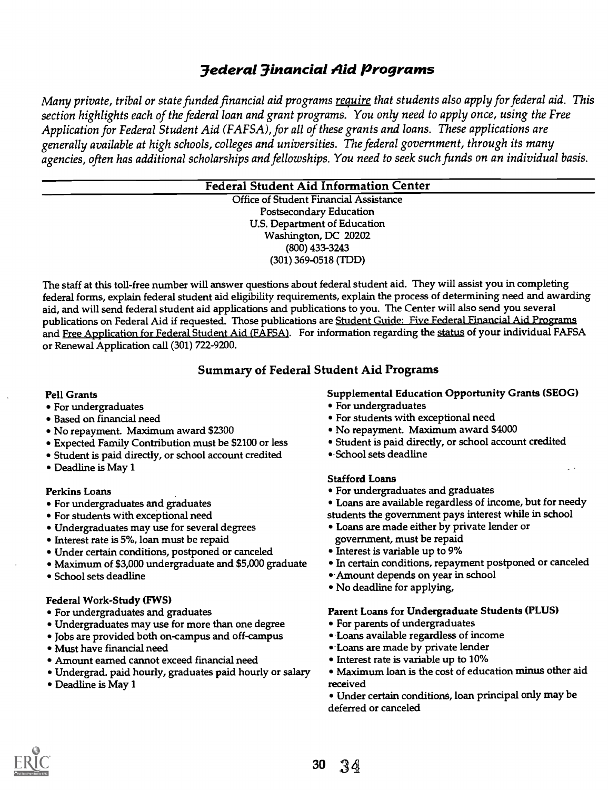# 3ederal 3inancial Aid Programs

Many private, tribal or state funded financial aid programs require that students also apply for federal aid. This section highlights each of the federal loan and grant programs. You only need to apply once, using the Free Application for Federal Student Aid (FAFSA), for all of these grants and loans. These applications are generally available at high schools, colleges and universities. The federal government, through its many agencies, often has additional scholarships and fellowships. You need to seek such funds on an individual basis.

## Federal Student Aid Information Center

Office of Student Financial Assistance Postsecondary Education U.S. Department of Education Washington, DC 20202 (800) 433-3243 (301) 369-0518 (TDD)

The staff at this toll-free number will answer questions about federal student aid. They will assist you in completing federal forms, explain federal student aid eligibility requirements, explain the process of determining need and awarding aid, and will send federal student aid applications and publications to you. The Center will also send you several publications on Federal Aid if requested. Those publications are Student Guide: Five Federal Financial Aid Programs and Free Application for Federal Student Aid (FAFSA). For information regarding the status of your individual FAFSA or Renewal Application call (301) 722-9200.

## Summary of Federal Student Aid Programs

## Pell Grants

- For undergraduates
- Based on financial need
- No repayment. Maximum award \$2300
- Expected Family Contribution must be \$2100 or less
- Student is paid directly, or school account credited
- Deadline is May 1

## Perkins Loans

- For undergraduates and graduates
- For students with exceptional need
- Undergraduates may use for several degrees
- Interest rate is 5%, loan must be repaid
- Under certain conditions, postponed or canceled
- Maximum of \$3,000 undergraduate and \$5,000 graduate
- School sets deadline

## Federal Work-Study (FWS)

- For undergraduates and graduates
- Undergraduates may use for more than one degree
- Jobs are provided both on-campus and off-campus
- Must have financial need
- Amount earned cannot exceed financial need
- Undergrad. paid hourly, graduates paid hourly or salary
- Deadline is May 1

## Supplemental Education Opportunity Grants (SEOG)

- For undergraduates
- For students with exceptional need
- No repayment. Maximum award \$4000
- Student is paid directly, or school account credited
- School sets deadline

## Stafford Loans

- For undergraduates and graduates
- Loans are available regardless of income, but for needy students the government pays interest while in school
- Loans are made either by private lender or government, must be repaid
- Interest is variable up to 9%
- In certain conditions, repayment postponed or canceled
- -Amount depends on year in school
- No deadline for applying,

#### Parent Loans for Undergraduate Students (PLUS)

- For parents of undergraduates
- Loans available regardless of income
- -Loans are made by private lender
- Interest rate is variable up to 10%
- Maximum loan is the cost of education minus other aid received
- Under certain conditions, loan principal only may be deferred or canceled

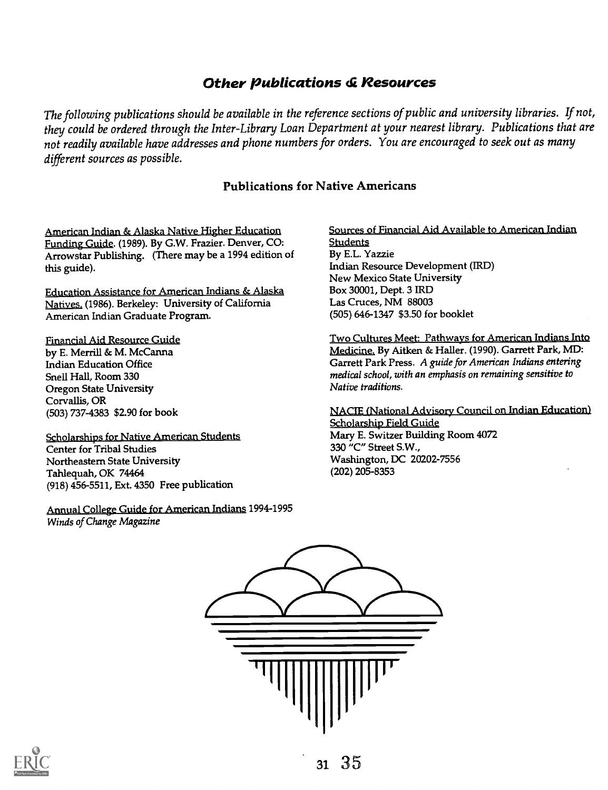# **Other Publications & Resources**

The following publications should be available in the reference sections of public and university libraries. If not, they could be ordered through the Inter-Library Loan Department at your nearest library. Publications that are not readily available have addresses and phone numbers for orders. You are encouraged to seek out as many different sources as possible.

## Publications for Native Americans

American Indian & Alaska Native Higher Education Funding Guide. (1989). By G.W. Frazier. Denver, CO: Arrowstar Publishing. (There may be a 1994 edition of this guide).

Education Assistance for American Indians & Alaska Natives. (1986). Berkeley: University of California American Indian Graduate Program.

#### Financial Aid Resource Guide

by E. Merrill & M. McCanna Indian Education Office Snell Hall, Room 330 Oregon State University Corvallis, OR (503) 737-4383 \$2.90 for book

Scholarships for Native American Students Center for Tribal Studies Northeastern State University Tahlequah, OK 74464 (918) 456-5511, Ext. 4350 Free publication

Annual College Guide for American Indians 1994-1995 Winds of Change Magazine

Sources of Financial Aid Available to American Indian **Students** By E.L. Yazzie Indian Resource Development (IRD) New Mexico State University Box 30001, Dept. 3 IRD Las Cruces, NM 88003 (505) 646-1347 \$3.50 for booklet

Two Cultures Meet: Pathways for American Indians Into Medicine. By Aitken & Haller. (1990). Garrett Park, MD: Garrett Park Press. A guide for American Indians entering medical school, with an emphasis on remaining sensitive to Native traditions.

NACIE (National Advisory Council on Indian Education) Scholarship Field Guide Mary E. Switzer Building Room 4072 330 "C" Street S.W., Washington, DC 20202-7556 (202) 205-8353



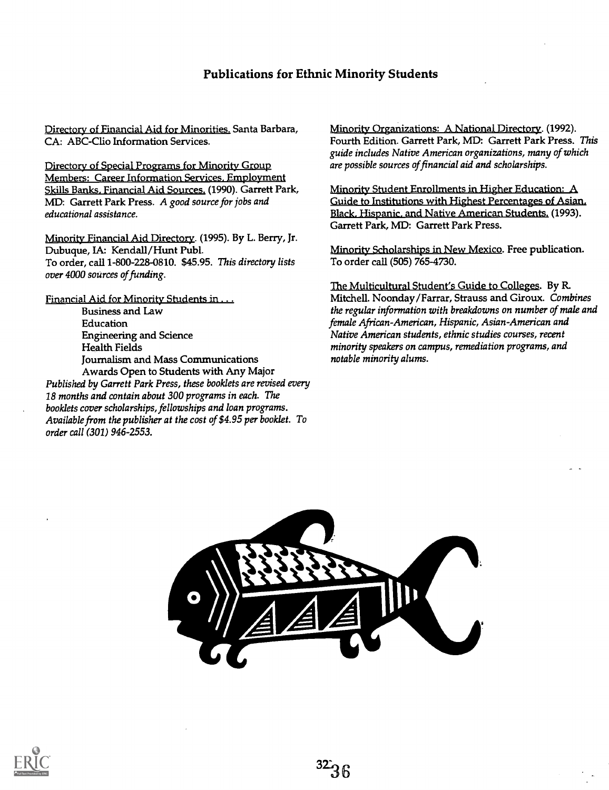## Publications for Ethnic Minority Students

Directory of Financial Aid for Minorities. Santa Barbara, CA: ABC-Clio Information Services.

Directory of Special Programs for Minority Group Members: Career Information Services. Employment Skills Banks, Financial Aid Sources. (1990). Garrett Park, MD: Garrett Park Press. A good source for jobs and educational assistance.

Minority Financial Aid Directory. (1995). By L. Berry, Jr. Dubuque, IA: Kendall/Hunt Publ. To order, call 1-800-228-0810. \$45.95. This directory lists over 4000 sources of funding.

Financial Aid for Minority Students in . . . Business and Law Education Engineering and Science Health Fields Journalism and Mass Communications Awards Open to Students with Any Major Published by Garrett Park Press, these booklets are revised every 18 months and contain about 300 programs in each. The booklets cover scholarships, fellowships and loan programs. Available from the publisher at the cost of \$4.95 per booklet. To

order call (301) 946-2553.

Minority Organizations: A National Directory. (1992). Fourth Edition. Garrett Park, MD: Garrett Park Press. This guide includes Native American organizations, many of which are possible sources of financial aid and scholarships.

Minority Student Enrollments in Higher Education: A Guide to Institutions with Highest Percentages of Asian, Black. Hispanic. and Native American Students. (1993). Garrett Park, MD: Garrett Park Press.

Minority Scholarships in New Mexico. Free publication. To order call (505) 765-4730.

The Multicultural Student's Guide to Colleges. By R. Mitchell. Noonday/Farrar, Strauss and Giroux. Combines the regular information with breakdowns on number of male and female African-American, Hispanic, Asian-American and Native American students, ethnic studies courses, recent minority speakers on campus, remediation programs, and notable minority alums.



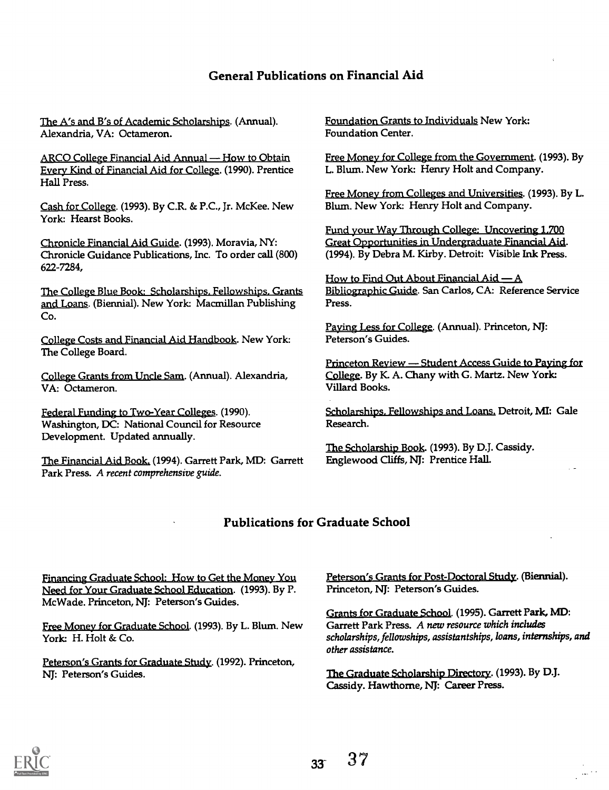## General Publications on Financial Aid

<u> The A's and B's of Academic Scholarships</u>. (Annual). Alexandria, VA: Octameron.

ARCO College Financial Aid Annual - How to Obtain Every Kind of Financial Aid for College. (1990). Prentice Hall Press.

Cash for College. (1993). By C.R. & P.C., Jr. McKee. New York: Hearst Books.

Chronicle Financial Aid Guide. (1993). Moravia, NY: Chronicle Guidance Publications, Inc. To order call (800) 622-7284,

The College Blue Book: Scholarships. Fellowships. Grants and Loans. (Biennial). New York: Macmillan Publishing Co.

College Costs and Financial Aid Handbook. New York: The College Board.

College Grants from Uncle Sam. (Annual). Alexandria, VA: Octameron.

FederaLFunding to Two-Year Colleges. (1990). Washington, DC: National Council for Resource Development. Updated annually.

The Financial Aid Book. (1994). Garrett Park, MD: Garrett Park Press. A recent comprehensive guide.

Foundation Grants to Individuals New York: Foundation Center.

Free Money for College from the Government. (1993). By L. Blum. New York: Henry Holt and Company.

Free Money from Colleges and Universities. (1993). By L. Blum. New York: Henry Holt and Company.

Fund your Way Through College: Uncovering L700 Great Opportunities in Undergraduate Financial Aid. (1994). By Debra M. Kirby. Detroit: Visible Ink Press.

How to Find Out About Financial  $A$ id  $-A$ Bibliographic Guide. San Carlos, CA: Reference Service Press.

Paying Less for College. (Annual). Princeton, NJ: Peterson's Guides.

Princeton Review — Student Access Guide to Paying for College. By K A. Chany with G. Martz. New York: Villard Books.

<u>olarships. Fellowships and Loans.</u> Detroit, MI: Gale Research.

The Scholarship Book. (1993). By D.J. Cassidy. Englewood Cliffs, NJ: Prentice Hall.

## Publications for Graduate School

Financing Graduate School: How to Get the Money You Need for Your Graduate School Education. (1993). By P. McWade. Princeton, NJ: Peterson's Guides.

Free Money for Graduate School. (1993). By L. Blum. New York: H. Holt & Co.

Peterson's Grants for Graduate Study. (1992). Princeton, NJ: Peterson's Guides.

Peterson's Grants for Post-Doctoral Study. (Biennial). Princeton, NJ: Peterson's Guides.

Grants for Graduate School. (1995). Garrett Park, MD: Garrett Park Press. A new resource which includes scholarships, fellowships, assistantships, loans, internships, and other assistance.

The Graduate Scholarship Directory. (1993). By D.J. Cassidy. Hawthorne, NJ: Career Press.

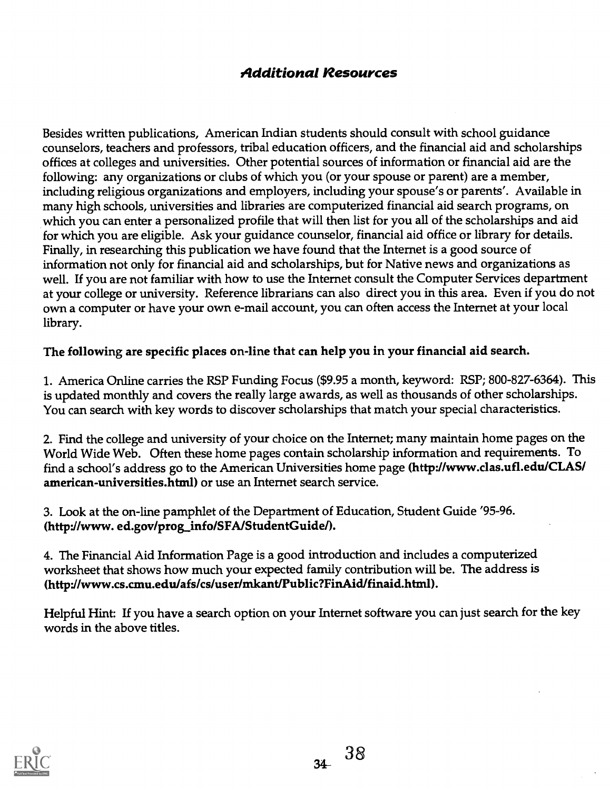# Additional Resources

Besides written publications, American Indian students should consult with school guidance counselors, teachers and professors, tribal education officers, and the financial aid and scholarships offices at colleges and universities. Other potential sources of information or financial aid are the following: any organizations or clubs of which you (or your spouse or parent) are a member, including religious organizations and employers, including your spouse's or parents'. Available in many high schools, universities and libraries are computerized financial aid search programs, on which you can enter a personalized profile that will then list for you all of the scholarships and aid for which you are eligible. Ask your guidance counselor, financial aid office or library for details. Finally, in researching this publication we have found that the Internet is a good source of information not only for financial aid and scholarships, but for Native news and organizations as well. If you are not familiar with how to use the Internet consult the Computer Services department at your college or university. Reference librarians can also direct you in this area. Even if you do not own a computer or have your own e-mail account, you can often access the Internet at your local library.

# The following are specific places on-line that can help you in your financial aid search.

1. America Online carries the RSP Funding Focus (\$9.95 a month, keyword: RSP; 800-827-6364). This is updated monthly and covers the really large awards, as well as thousands of other scholarships. You can search with key words to discover scholarships that match your special characteristics.

2. Find the college and university of your choice on the Internet; many maintain home pages on the World Wide Web. Often these home pages contain scholarship information and requirements. To find a school's address go to the American Universities home page (http://www.clas.ufl.edu/CLAS/ american-universities.html) or use an Internet search service.

3. Look at the on-line pamphlet of the Department of Education, Student Guide '95-96. (http://www.ed.gov/prog\_info/SFA/StudentGuide/).

4. The Financial Aid Information Page is a good introduction and includes a computerized worksheet that shows how much your expected family contribution will be. The address is (http://www.cs.anu.edu/afs/cs/user/mkant/Public?FinAid/finaid.html).

Helpful Hint: If you have a search option on your Internet software you can just search for the key words in the above titles.

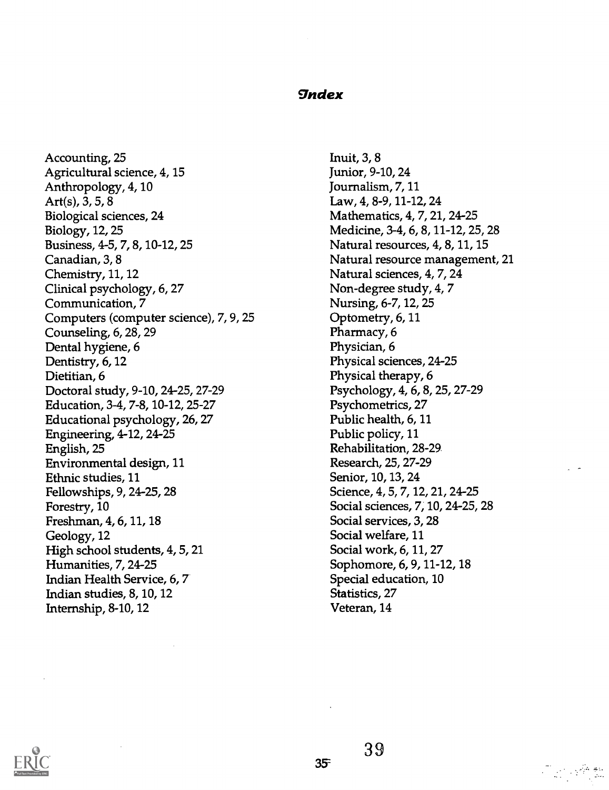## *<u>Index</u>*

Accounting, 25 Agricultural science, 4, 15 Anthropology, 4,10 Art(s), 3, 5, 8 Biological sciences, 24 Biology, 12, 25 Business, 4-5, 7, 8, 10-12, 25 Canadian, 3, 8 Chemistry, 11, 12 Clinical psychology, 6, 27 Communication, 7 Computers (computer science), 7, 9, 25 Counseling, 6, 28, 29 Dental hygiene, 6 Dentistry, 6, 12 Dietitian, 6 Doctoral study, 9-10, 24-25, 27-29 Education, 3-4, 7-8, 10-12, 25-27 Educational psychology, 26, 27 Engineering, 4-12, 24-25 English, 25 Environmental design, 11 Ethnic studies, 11 Fellowships, 9, 24-25, 28 Forestry, 10 Freshman, 4, 6, 11, 18 Geology, 12 High school students, 4, 5, 21 Humanities, 7, 24-25 Indian Health Service, 6, 7 Indian studies, 8, 10, 12 Internship, 8-10, 12

Inuit, 3, 8 Junior, 9-10, 24 Journalism, 7, 11 Law, 4, 8-9, 11-12, 24 Mathematics, 4, 7, 21, 24-25 Medicine, 3-4, 6, 8, 11-12, 25, 28 Natural resources, 4, 8, 11, 15 Natural resource management, 21 Natural sciences, 4, 7, 24 Non-degree study, 4, 7 Nursing, 6-7, 12, 25 Optometry, 6, 11 Pharmacy, 6 Physician, 6 Physical sciences, 24-25 Physical therapy, 6 Psychology, 4, 6, 8, 25, 27-29 Psychometrics, 27 Public health, 6, 11 Public policy, 11 Rehabilitation, 28-29. Research, 25, 27-29 Senior, 10, 13, 24 Science, 4, 5, 7, 12, 21, 24-25 Social sciences, 7, 10, 24-25, 28 Social services, 3, 28 Social welfare, 11 Social work, 6, 11, 27 Sophomore, 6, 9, 11-12, 18 Special education, 10 Statistics, 27 Veteran, 14



**T**erry 接触

 $35$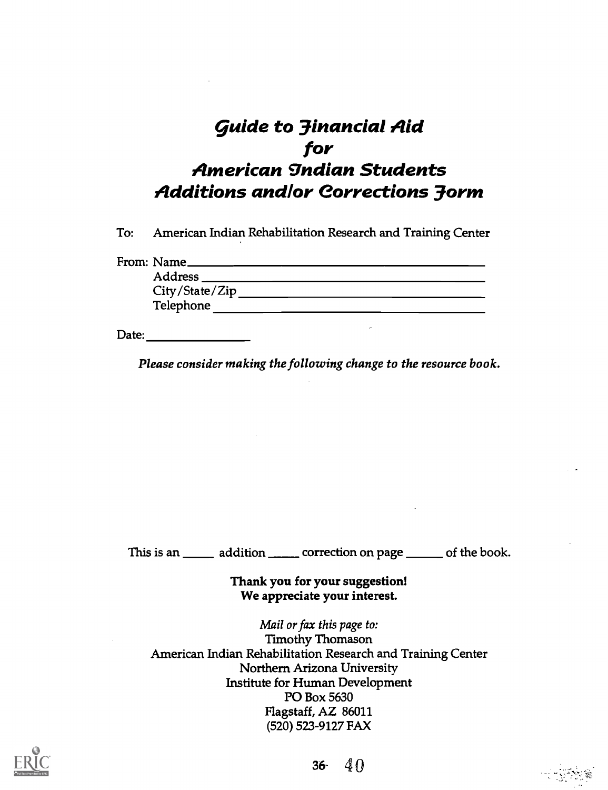# guide to 3inancial Aid for American gndian Students Additions and /or Corrections 3orm

To: American Indian Rehabilitation Research and Training Center

From: Name

| Address        |  |  |
|----------------|--|--|
| City/State/Zip |  |  |
| Telephone      |  |  |

Date: **Date:** 

Please consider making the following change to the resource book.

This is an \_\_\_\_\_\_ addition \_\_\_\_\_\_ correction on page \_\_\_\_\_\_ of the book.

Thank you for your suggestion! We appreciate your interest.

Mail or fax this page to: Timothy Thomason American Indian Rehabilitation Research and Training Center Northern Arizona University Institute for Human Development PO Box 5630 Flagstaff, AZ 86011 (520) 523-9127 FAX



36  $40$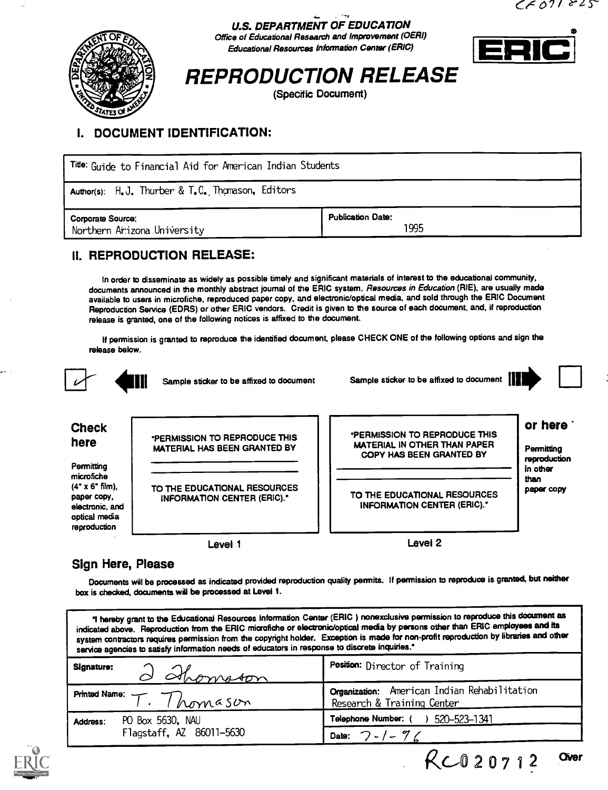

# U.S. DEPARTMENT OF EDUCATION

Office of Educational Research and Improvement (OERI) Educational Resources Information Center (ERIC)



# REPRODUCTION RELEASE

(Specific Document)

# I. DOCUMENT IDENTIFICATION:

| Tide: Guide to Financial Aid for American Indian Students |                                  |  |
|-----------------------------------------------------------|----------------------------------|--|
| Author(s): H.J. Thurber & T.C. Thomason, Editors          |                                  |  |
| Corporate Source:<br>Northern Arizona University          | <b>Publication Date:</b><br>1995 |  |

## II. REPRODUCTION RELEASE:

In order to disseminate as widely as possible timely and significant materials of interest to the educational community, documents announced in the monthly abstract journal of the ERIC system. Resources in Education (RIE), are usually made available to users in microfiche, reproduced paper copy, and electronic/optical media, and sold through the ERIC Document Reproduction Service (EDRS) or other ERIC vendors. Credit is given to the source of each document, and, if reproduction release is granted, one of the following notices is affixed to the document.

If permission is granted to reproduce the identified document, please CHECK ONE of the following options and sign the release below.



\*PERMISSION TO REPRODUCE THIS MATERIAL HAS BEEN GRANTED BY

TO THE EDUCATIONAL RESOURCES INFORMATION CENTER (ERIC)."

Level 1



 $RC020712$  aver

# or here

**Permitting** reproduction in other than paper copy

TO THE EDUCATIONAL RESOURCES INFORMATION CENTER (ERIC).'

'PERMISSION TO REPRODUCE THIS MATERIAL IN OTHER THAN PAPER COPY HAS BEEN GRANTED BY

Level 2

## Sign Here, Please

Check here

**Permitting** microfiche  $(4" \times 6"$  film), paper copy, electronic, and optical media reproduction

Documents will be processed as indicated provided reproduction quality permits. If permission to reproduce is granted, but neither box is checked, documents will be processed at Level 1.

| "I hereby grant to the Educational Resources Information Center (ERIC) nonexclusive permission to reproduce this document as<br>indicated above. Reproduction from the ERIC microfiche or electronic/optical media by persons other than ERIC employees and its<br>system contractors requires permission from the copyright holder. Exception is made for non-profit reproduction by libraries and other<br>service agencies to satisfy information needs of educators in response to discrete inquiries." |                                                                            |  |
|-------------------------------------------------------------------------------------------------------------------------------------------------------------------------------------------------------------------------------------------------------------------------------------------------------------------------------------------------------------------------------------------------------------------------------------------------------------------------------------------------------------|----------------------------------------------------------------------------|--|
| Signature:<br>d Ahomston                                                                                                                                                                                                                                                                                                                                                                                                                                                                                    | Position: Director of Training                                             |  |
| Printed Name: $T.$ Thomassum                                                                                                                                                                                                                                                                                                                                                                                                                                                                                | Organization: American Indian Rehabilitation<br>Research & Training Center |  |
| PO Box 5630, NAU<br>Address:                                                                                                                                                                                                                                                                                                                                                                                                                                                                                | Telephone Number: () 520-523-1341                                          |  |
| Flagstaff, AZ 86011-5630                                                                                                                                                                                                                                                                                                                                                                                                                                                                                    | Date: $7 - 7$                                                              |  |